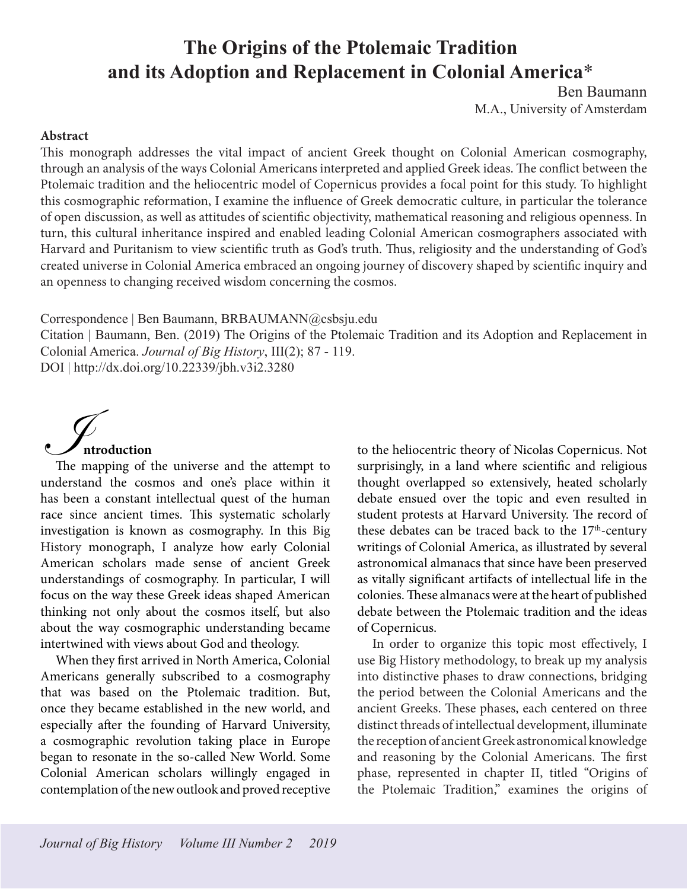# **The Origins of the Ptolemaic Tradition and its Adoption and Replacement in Colonial America**\*

Ben Baumann M.A., University of Amsterdam

#### **Abstract**

This monograph addresses the vital impact of ancient Greek thought on Colonial American cosmography, through an analysis of the ways Colonial Americans interpreted and applied Greek ideas. The conflict between the Ptolemaic tradition and the heliocentric model of Copernicus provides a focal point for this study. To highlight this cosmographic reformation, I examine the influence of Greek democratic culture, in particular the tolerance of open discussion, as well as attitudes of scientific objectivity, mathematical reasoning and religious openness. In turn, this cultural inheritance inspired and enabled leading Colonial American cosmographers associated with Harvard and Puritanism to view scientific truth as God's truth. Thus, religiosity and the understanding of God's created universe in Colonial America embraced an ongoing journey of discovery shaped by scientific inquiry and an openness to changing received wisdom concerning the cosmos.

Correspondence | Ben Baumann, BRBAUMANN@csbsju.edu

Citation | Baumann, Ben. (2019) The Origins of the Ptolemaic Tradition and its Adoption and Replacement in Colonial America. *Journal of Big History*, III(2); 87 - 119.

DOI | http://dx.doi.org/10.22339/jbh.v3i2.3280



understand the cosmos and one's place within it has been a constant intellectual quest of the human race since ancient times. This systematic scholarly investigation is known as cosmography. In this Big History monograph, I analyze how early Colonial American scholars made sense of ancient Greek understandings of cosmography. In particular, I will focus on the way these Greek ideas shaped American thinking not only about the cosmos itself, but also about the way cosmographic understanding became intertwined with views about God and theology.

When they first arrived in North America, Colonial Americans generally subscribed to a cosmography that was based on the Ptolemaic tradition. But, once they became established in the new world, and especially after the founding of Harvard University, a cosmographic revolution taking place in Europe began to resonate in the so-called New World. Some Colonial American scholars willingly engaged in contemplation of the new outlook and proved receptive

to the heliocentric theory of Nicolas Copernicus. Not surprisingly, in a land where scientific and religious thought overlapped so extensively, heated scholarly debate ensued over the topic and even resulted in student protests at Harvard University. The record of these debates can be traced back to the 17<sup>th</sup>-century writings of Colonial America, as illustrated by several astronomical almanacs that since have been preserved as vitally significant artifacts of intellectual life in the colonies. These almanacs were at the heart of published debate between the Ptolemaic tradition and the ideas of Copernicus.

In order to organize this topic most effectively, I use Big History methodology, to break up my analysis into distinctive phases to draw connections, bridging the period between the Colonial Americans and the ancient Greeks. These phases, each centered on three distinct threads of intellectual development, illuminate the reception of ancient Greek astronomical knowledge and reasoning by the Colonial Americans. The first phase, represented in chapter II, titled "Origins of the Ptolemaic Tradition," examines the origins of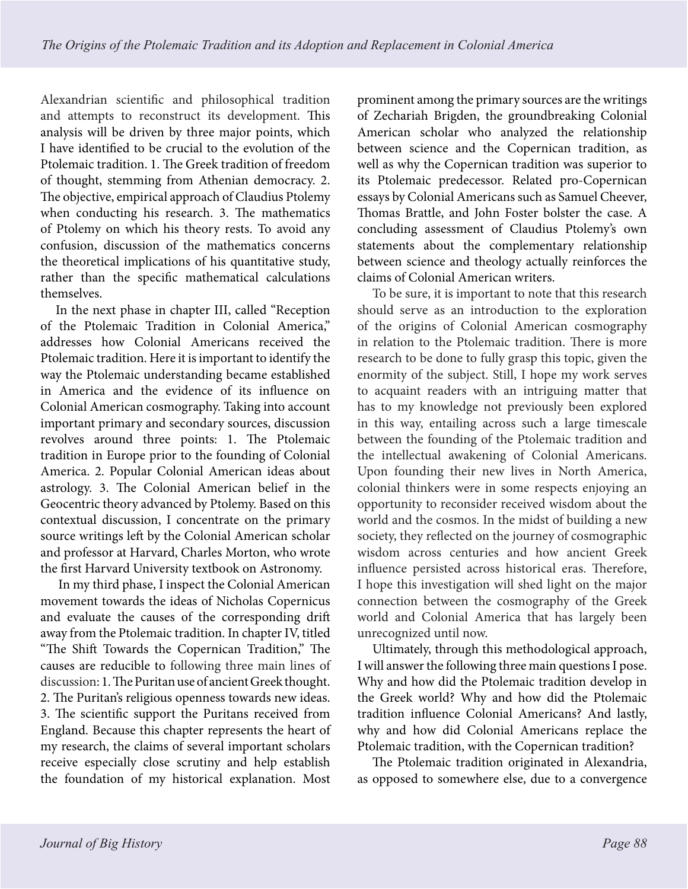Alexandrian scientific and philosophical tradition and attempts to reconstruct its development. This analysis will be driven by three major points, which I have identified to be crucial to the evolution of the Ptolemaic tradition. 1. The Greek tradition of freedom of thought, stemming from Athenian democracy. 2. The objective, empirical approach of Claudius Ptolemy when conducting his research. 3. The mathematics of Ptolemy on which his theory rests. To avoid any confusion, discussion of the mathematics concerns the theoretical implications of his quantitative study, rather than the specific mathematical calculations themselves.

In the next phase in chapter III, called "Reception of the Ptolemaic Tradition in Colonial America," addresses how Colonial Americans received the Ptolemaic tradition. Here it is important to identify the way the Ptolemaic understanding became established in America and the evidence of its influence on Colonial American cosmography. Taking into account important primary and secondary sources, discussion revolves around three points: 1. The Ptolemaic tradition in Europe prior to the founding of Colonial America. 2. Popular Colonial American ideas about astrology. 3. The Colonial American belief in the Geocentric theory advanced by Ptolemy. Based on this contextual discussion, I concentrate on the primary source writings left by the Colonial American scholar and professor at Harvard, Charles Morton, who wrote the first Harvard University textbook on Astronomy.

 In my third phase, I inspect the Colonial American movement towards the ideas of Nicholas Copernicus and evaluate the causes of the corresponding drift away from the Ptolemaic tradition. In chapter IV, titled "The Shift Towards the Copernican Tradition," The causes are reducible to following three main lines of discussion: 1. The Puritan use of ancient Greek thought. 2. The Puritan's religious openness towards new ideas. 3. The scientific support the Puritans received from England. Because this chapter represents the heart of my research, the claims of several important scholars receive especially close scrutiny and help establish the foundation of my historical explanation. Most prominent among the primary sources are the writings of Zechariah Brigden, the groundbreaking Colonial American scholar who analyzed the relationship between science and the Copernican tradition, as well as why the Copernican tradition was superior to its Ptolemaic predecessor. Related pro-Copernican essays by Colonial Americans such as Samuel Cheever, Thomas Brattle, and John Foster bolster the case. A concluding assessment of Claudius Ptolemy's own statements about the complementary relationship between science and theology actually reinforces the claims of Colonial American writers.

To be sure, it is important to note that this research should serve as an introduction to the exploration of the origins of Colonial American cosmography in relation to the Ptolemaic tradition. There is more research to be done to fully grasp this topic, given the enormity of the subject. Still, I hope my work serves to acquaint readers with an intriguing matter that has to my knowledge not previously been explored in this way, entailing across such a large timescale between the founding of the Ptolemaic tradition and the intellectual awakening of Colonial Americans. Upon founding their new lives in North America, colonial thinkers were in some respects enjoying an opportunity to reconsider received wisdom about the world and the cosmos. In the midst of building a new society, they reflected on the journey of cosmographic wisdom across centuries and how ancient Greek influence persisted across historical eras. Therefore, I hope this investigation will shed light on the major connection between the cosmography of the Greek world and Colonial America that has largely been unrecognized until now.

Ultimately, through this methodological approach, I will answer the following three main questions I pose. Why and how did the Ptolemaic tradition develop in the Greek world? Why and how did the Ptolemaic tradition influence Colonial Americans? And lastly, why and how did Colonial Americans replace the Ptolemaic tradition, with the Copernican tradition?

The Ptolemaic tradition originated in Alexandria, as opposed to somewhere else, due to a convergence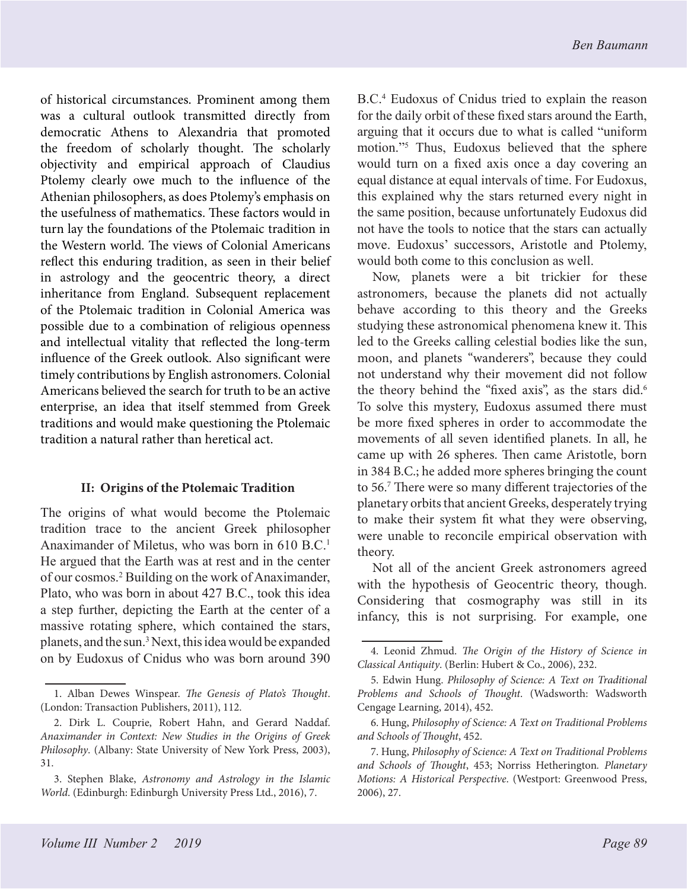of historical circumstances. Prominent among them was a cultural outlook transmitted directly from democratic Athens to Alexandria that promoted the freedom of scholarly thought. The scholarly objectivity and empirical approach of Claudius Ptolemy clearly owe much to the influence of the Athenian philosophers, as does Ptolemy's emphasis on the usefulness of mathematics. These factors would in turn lay the foundations of the Ptolemaic tradition in the Western world. The views of Colonial Americans reflect this enduring tradition, as seen in their belief in astrology and the geocentric theory, a direct inheritance from England. Subsequent replacement of the Ptolemaic tradition in Colonial America was possible due to a combination of religious openness and intellectual vitality that reflected the long-term influence of the Greek outlook. Also significant were timely contributions by English astronomers. Colonial Americans believed the search for truth to be an active enterprise, an idea that itself stemmed from Greek traditions and would make questioning the Ptolemaic tradition a natural rather than heretical act.

### **II: Origins of the Ptolemaic Tradition**

The origins of what would become the Ptolemaic tradition trace to the ancient Greek philosopher Anaximander of Miletus, who was born in 610 B.C.<sup>1</sup> He argued that the Earth was at rest and in the center of our cosmos.2 Building on the work of Anaximander, Plato, who was born in about 427 B.C., took this idea a step further, depicting the Earth at the center of a massive rotating sphere, which contained the stars, planets, and the sun.<sup>3</sup> Next, this idea would be expanded on by Eudoxus of Cnidus who was born around 390

B.C.4 Eudoxus of Cnidus tried to explain the reason for the daily orbit of these fixed stars around the Earth, arguing that it occurs due to what is called "uniform motion."5 Thus, Eudoxus believed that the sphere would turn on a fixed axis once a day covering an equal distance at equal intervals of time. For Eudoxus, this explained why the stars returned every night in the same position, because unfortunately Eudoxus did not have the tools to notice that the stars can actually move. Eudoxus' successors, Aristotle and Ptolemy, would both come to this conclusion as well.

Now, planets were a bit trickier for these astronomers, because the planets did not actually behave according to this theory and the Greeks studying these astronomical phenomena knew it. This led to the Greeks calling celestial bodies like the sun, moon, and planets "wanderers", because they could not understand why their movement did not follow the theory behind the "fixed axis", as the stars did.<sup>6</sup> To solve this mystery, Eudoxus assumed there must be more fixed spheres in order to accommodate the movements of all seven identified planets. In all, he came up with 26 spheres. Then came Aristotle, born in 384 B.C.; he added more spheres bringing the count to 56.7 There were so many different trajectories of the planetary orbits that ancient Greeks, desperately trying to make their system fit what they were observing, were unable to reconcile empirical observation with theory.

Not all of the ancient Greek astronomers agreed with the hypothesis of Geocentric theory, though. Considering that cosmography was still in its infancy, this is not surprising. For example, one

<sup>1.</sup> Alban Dewes Winspear. *The Genesis of Plato's Thought*. (London: Transaction Publishers, 2011), 112.

<sup>2.</sup> Dirk L. Couprie, Robert Hahn, and Gerard Naddaf. *Anaximander in Context: New Studies in the Origins of Greek Philosophy*. (Albany: State University of New York Press, 2003), 31.

<sup>3.</sup> Stephen Blake, *Astronomy and Astrology in the Islamic World*. (Edinburgh: Edinburgh University Press Ltd., 2016), 7.

<sup>4.</sup> Leonid Zhmud. *The Origin of the History of Science in Classical Antiquity*. (Berlin: Hubert & Co., 2006), 232.

<sup>5.</sup> Edwin Hung. *Philosophy of Science: A Text on Traditional Problems and Schools of Thought*. (Wadsworth: Wadsworth Cengage Learning, 2014), 452.

<sup>6.</sup> Hung, *Philosophy of Science: A Text on Traditional Problems and Schools of Thought*, 452.

<sup>7.</sup> Hung, *Philosophy of Science: A Text on Traditional Problems and Schools of Thought*, 453; Norriss Hetherington*. Planetary Motions: A Historical Perspective*. (Westport: Greenwood Press, 2006), 27.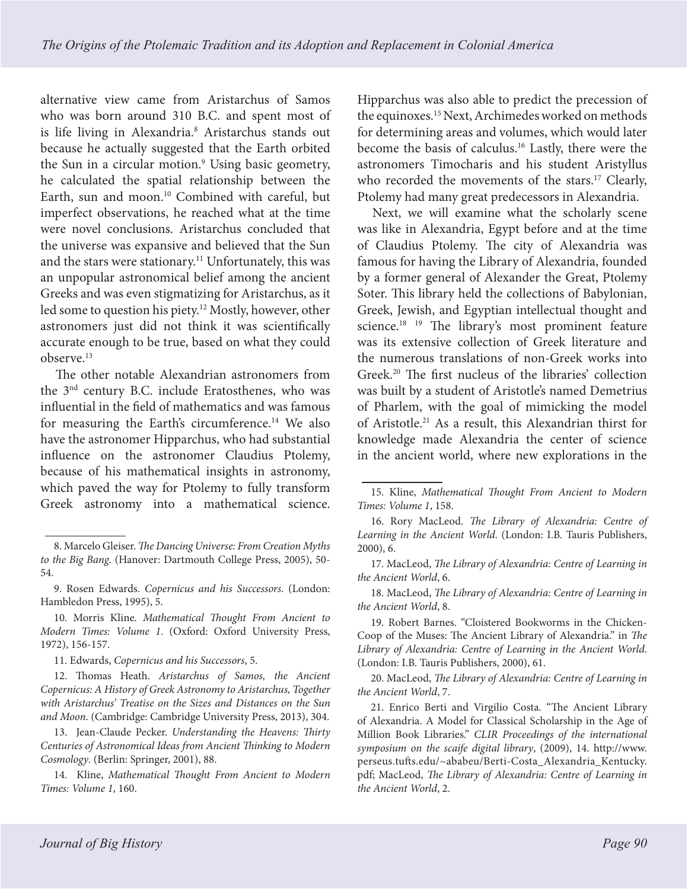alternative view came from Aristarchus of Samos who was born around 310 B.C. and spent most of is life living in Alexandria.<sup>8</sup> Aristarchus stands out because he actually suggested that the Earth orbited the Sun in a circular motion.<sup>9</sup> Using basic geometry, he calculated the spatial relationship between the Earth, sun and moon.<sup>10</sup> Combined with careful, but imperfect observations, he reached what at the time were novel conclusions. Aristarchus concluded that the universe was expansive and believed that the Sun and the stars were stationary.<sup>11</sup> Unfortunately, this was an unpopular astronomical belief among the ancient Greeks and was even stigmatizing for Aristarchus, as it led some to question his piety.12 Mostly, however, other astronomers just did not think it was scientifically accurate enough to be true, based on what they could observe.13

The other notable Alexandrian astronomers from the 3nd century B.C. include Eratosthenes, who was influential in the field of mathematics and was famous for measuring the Earth's circumference.14 We also have the astronomer Hipparchus, who had substantial influence on the astronomer Claudius Ptolemy, because of his mathematical insights in astronomy, which paved the way for Ptolemy to fully transform Greek astronomy into a mathematical science.

Hipparchus was also able to predict the precession of the equinoxes.15 Next, Archimedes worked on methods for determining areas and volumes, which would later become the basis of calculus.16 Lastly, there were the astronomers Timocharis and his student Aristyllus who recorded the movements of the stars.<sup>17</sup> Clearly, Ptolemy had many great predecessors in Alexandria.

Next, we will examine what the scholarly scene was like in Alexandria, Egypt before and at the time of Claudius Ptolemy. The city of Alexandria was famous for having the Library of Alexandria, founded by a former general of Alexander the Great, Ptolemy Soter. This library held the collections of Babylonian, Greek, Jewish, and Egyptian intellectual thought and science.<sup>18</sup> <sup>19</sup> The library's most prominent feature was its extensive collection of Greek literature and the numerous translations of non-Greek works into Greek.20 The first nucleus of the libraries' collection was built by a student of Aristotle's named Demetrius of Pharlem, with the goal of mimicking the model of Aristotle.21 As a result, this Alexandrian thirst for knowledge made Alexandria the center of science in the ancient world, where new explorations in the

18. MacLeod, *The Library of Alexandria: Centre of Learning in the Ancient World*, 8.

20. MacLeod, *The Library of Alexandria: Centre of Learning in the Ancient World*, 7.

<sup>8.</sup> Marcelo Gleiser. *The Dancing Universe: From Creation Myths to the Big Bang*. (Hanover: Dartmouth College Press, 2005), 50- 54.

<sup>9.</sup> Rosen Edwards. *Copernicus and his Successors*. (London: Hambledon Press, 1995), 5.

<sup>10.</sup> Morris Kline. *Mathematical Thought From Ancient to Modern Times: Volume 1*. (Oxford: Oxford University Press, 1972), 156-157.

<sup>11.</sup> Edwards, *Copernicus and his Successors*, 5.

<sup>12.</sup> Thomas Heath. *Aristarchus of Samos, the Ancient Copernicus: A History of Greek Astronomy to Aristarchus, Together with Aristarchus' Treatise on the Sizes and Distances on the Sun and Moon*. (Cambridge: Cambridge University Press, 2013), 304.

<sup>13.</sup> Jean-Claude Pecker. *Understanding the Heavens: Thirty Centuries of Astronomical Ideas from Ancient Thinking to Modern Cosmology*. (Berlin: Springer, 2001), 88.

<sup>14.</sup> Kline, *Mathematical Thought From Ancient to Modern Times: Volume 1*, 160.

<sup>15.</sup> Kline, *Mathematical Thought From Ancient to Modern Times: Volume 1*, 158.

<sup>16.</sup> Rory MacLeod. *The Library of Alexandria: Centre of Learning in the Ancient World*. (London: I.B. Tauris Publishers, 2000), 6.

<sup>17.</sup> MacLeod, *The Library of Alexandria: Centre of Learning in the Ancient World*, 6.

<sup>19.</sup> Robert Barnes. "Cloistered Bookworms in the Chicken-Coop of the Muses: The Ancient Library of Alexandria." in *The Library of Alexandria: Centre of Learning in the Ancient World*. (London: I.B. Tauris Publishers, 2000), 61.

<sup>21.</sup> Enrico Berti and Virgilio Costa. "The Ancient Library of Alexandria. A Model for Classical Scholarship in the Age of Million Book Libraries." *CLIR Proceedings of the international symposium on the scaife digital library*, (2009), 14. http://www. perseus.tufts.edu/~ababeu/Berti-Costa\_Alexandria\_Kentucky. pdf; MacLeod, *The Library of Alexandria: Centre of Learning in the Ancient World*, 2.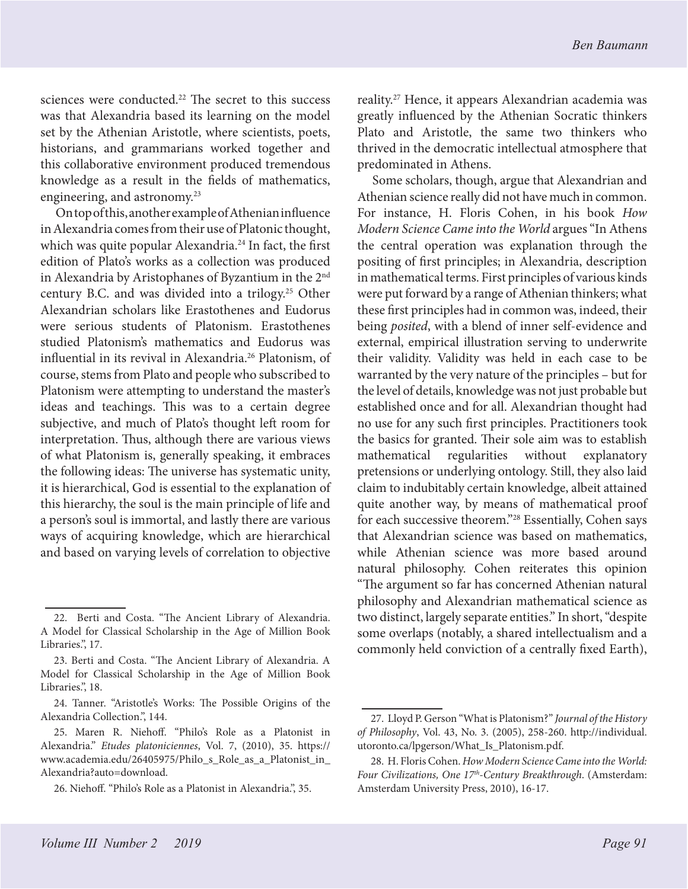sciences were conducted.<sup>22</sup> The secret to this success was that Alexandria based its learning on the model set by the Athenian Aristotle, where scientists, poets, historians, and grammarians worked together and this collaborative environment produced tremendous knowledge as a result in the fields of mathematics, engineering, and astronomy.23

On top of this, another example of Athenian influence in Alexandria comes from their use of Platonic thought, which was quite popular Alexandria.<sup>24</sup> In fact, the first edition of Plato's works as a collection was produced in Alexandria by Aristophanes of Byzantium in the 2nd century B.C. and was divided into a trilogy.25 Other Alexandrian scholars like Erastothenes and Eudorus were serious students of Platonism. Erastothenes studied Platonism's mathematics and Eudorus was influential in its revival in Alexandria.<sup>26</sup> Platonism, of course, stems from Plato and people who subscribed to Platonism were attempting to understand the master's ideas and teachings. This was to a certain degree subjective, and much of Plato's thought left room for interpretation. Thus, although there are various views of what Platonism is, generally speaking, it embraces the following ideas: The universe has systematic unity, it is hierarchical, God is essential to the explanation of this hierarchy, the soul is the main principle of life and a person's soul is immortal, and lastly there are various ways of acquiring knowledge, which are hierarchical and based on varying levels of correlation to objective

reality.27 Hence, it appears Alexandrian academia was greatly influenced by the Athenian Socratic thinkers Plato and Aristotle, the same two thinkers who thrived in the democratic intellectual atmosphere that predominated in Athens.

Some scholars, though, argue that Alexandrian and Athenian science really did not have much in common. For instance, H. Floris Cohen, in his book *How Modern Science Came into the World* argues "In Athens the central operation was explanation through the positing of first principles; in Alexandria, description in mathematical terms. First principles of various kinds were put forward by a range of Athenian thinkers; what these first principles had in common was, indeed, their being *posited*, with a blend of inner self-evidence and external, empirical illustration serving to underwrite their validity. Validity was held in each case to be warranted by the very nature of the principles – but for the level of details, knowledge was not just probable but established once and for all. Alexandrian thought had no use for any such first principles. Practitioners took the basics for granted. Their sole aim was to establish mathematical regularities without explanatory pretensions or underlying ontology. Still, they also laid claim to indubitably certain knowledge, albeit attained quite another way, by means of mathematical proof for each successive theorem."28 Essentially, Cohen says that Alexandrian science was based on mathematics, while Athenian science was more based around natural philosophy. Cohen reiterates this opinion "The argument so far has concerned Athenian natural philosophy and Alexandrian mathematical science as two distinct, largely separate entities." In short, "despite some overlaps (notably, a shared intellectualism and a commonly held conviction of a centrally fixed Earth),

<sup>22.</sup> Berti and Costa. "The Ancient Library of Alexandria. A Model for Classical Scholarship in the Age of Million Book Libraries.", 17.

<sup>23.</sup> Berti and Costa. "The Ancient Library of Alexandria. A Model for Classical Scholarship in the Age of Million Book Libraries.", 18.

<sup>24.</sup> Tanner. "Aristotle's Works: The Possible Origins of the Alexandria Collection.", 144.

<sup>25.</sup> Maren R. Niehoff. "Philo's Role as a Platonist in Alexandria." *Etudes platoniciennes*, Vol. 7, (2010), 35. https:// www.academia.edu/26405975/Philo\_s\_Role\_as\_a\_Platonist\_in\_ Alexandria?auto=download.

<sup>26.</sup> Niehoff. "Philo's Role as a Platonist in Alexandria.", 35.

<sup>27.</sup> Lloyd P. Gerson "What is Platonism?" *Journal of the History of Philosophy*, Vol. 43, No. 3. (2005), 258-260. http://individual. utoronto.ca/lpgerson/What\_Is\_Platonism.pdf.

<sup>28.</sup> H. Floris Cohen. *How Modern Science Came into the World: Four Civilizations, One 17th-Century Breakthrough*. (Amsterdam: Amsterdam University Press, 2010), 16-17.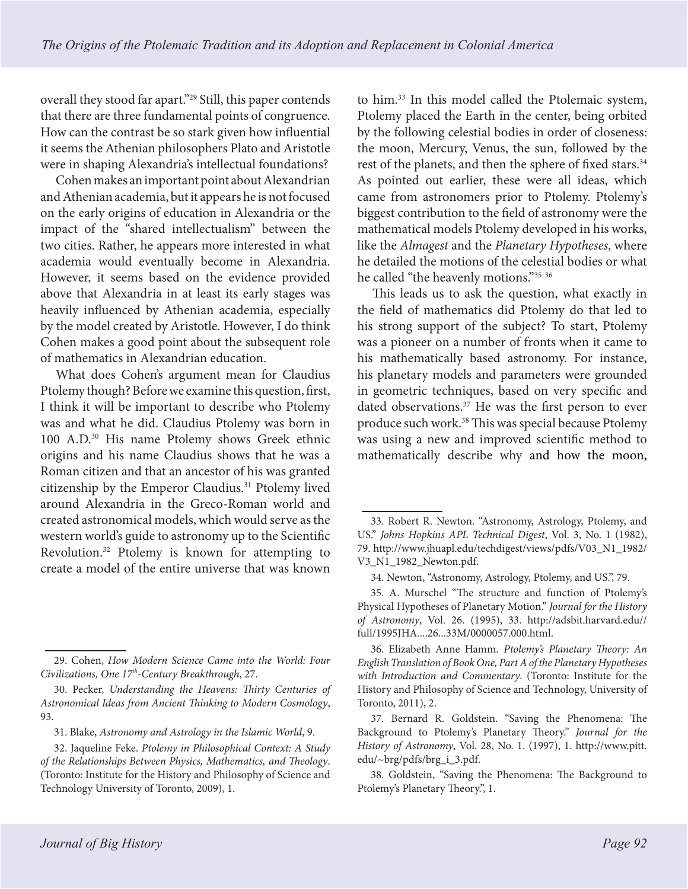overall they stood far apart."29 Still, this paper contends that there are three fundamental points of congruence. How can the contrast be so stark given how influential it seems the Athenian philosophers Plato and Aristotle were in shaping Alexandria's intellectual foundations?

Cohen makes an important point about Alexandrian and Athenian academia, but it appears he is not focused on the early origins of education in Alexandria or the impact of the "shared intellectualism" between the two cities. Rather, he appears more interested in what academia would eventually become in Alexandria. However, it seems based on the evidence provided above that Alexandria in at least its early stages was heavily influenced by Athenian academia, especially by the model created by Aristotle. However, I do think Cohen makes a good point about the subsequent role of mathematics in Alexandrian education.

What does Cohen's argument mean for Claudius Ptolemy though? Before we examine this question, first, I think it will be important to describe who Ptolemy was and what he did. Claudius Ptolemy was born in 100 A.D.30 His name Ptolemy shows Greek ethnic origins and his name Claudius shows that he was a Roman citizen and that an ancestor of his was granted citizenship by the Emperor Claudius.<sup>31</sup> Ptolemy lived around Alexandria in the Greco-Roman world and created astronomical models, which would serve as the western world's guide to astronomy up to the Scientific Revolution.32 Ptolemy is known for attempting to create a model of the entire universe that was known

to him.33 In this model called the Ptolemaic system, Ptolemy placed the Earth in the center, being orbited by the following celestial bodies in order of closeness: the moon, Mercury, Venus, the sun, followed by the rest of the planets, and then the sphere of fixed stars.<sup>34</sup> As pointed out earlier, these were all ideas, which came from astronomers prior to Ptolemy. Ptolemy's biggest contribution to the field of astronomy were the mathematical models Ptolemy developed in his works, like the *Almagest* and the *Planetary Hypotheses*, where he detailed the motions of the celestial bodies or what he called "the heavenly motions."35 <sup>36</sup>

This leads us to ask the question, what exactly in the field of mathematics did Ptolemy do that led to his strong support of the subject? To start, Ptolemy was a pioneer on a number of fronts when it came to his mathematically based astronomy. For instance, his planetary models and parameters were grounded in geometric techniques, based on very specific and dated observations.<sup>37</sup> He was the first person to ever produce such work.<sup>38</sup> This was special because Ptolemy was using a new and improved scientific method to mathematically describe why and how the moon,

<sup>29.</sup> Cohen, *How Modern Science Came into the World: Four Civilizations, One 17th-Century Breakthrough*, 27.

<sup>30.</sup> Pecker, *Understanding the Heavens: Thirty Centuries of Astronomical Ideas from Ancient Thinking to Modern Cosmology*, 93.

<sup>31.</sup> Blake, *Astronomy and Astrology in the Islamic World*, 9.

<sup>32.</sup> Jaqueline Feke. *Ptolemy in Philosophical Context: A Study of the Relationships Between Physics, Mathematics, and Theology*. (Toronto: Institute for the History and Philosophy of Science and Technology University of Toronto, 2009), 1.

<sup>33.</sup> Robert R. Newton. "Astronomy, Astrology, Ptolemy, and US." *Johns Hopkins APL Technical Digest*, Vol. 3, No. 1 (1982), 79. http://www.jhuapl.edu/techdigest/views/pdfs/V03\_N1\_1982/ V3\_N1\_1982\_Newton.pdf.

<sup>34.</sup> Newton, "Astronomy, Astrology, Ptolemy, and US.", 79.

<sup>35.</sup> A. Murschel "The structure and function of Ptolemy's Physical Hypotheses of Planetary Motion." *Journal for the History of Astronomy*, Vol. 26. (1995), 33. http://adsbit.harvard.edu// full/1995JHA....26...33M/0000057.000.html.

<sup>36.</sup> Elizabeth Anne Hamm*. Ptolemy's Planetary Theory: An English Translation of Book One, Part A of the Planetary Hypotheses with Introduction and Commentary*. (Toronto: Institute for the History and Philosophy of Science and Technology, University of Toronto, 2011), 2.

<sup>37.</sup> Bernard R. Goldstein. "Saving the Phenomena: The Background to Ptolemy's Planetary Theory." *Journal for the History of Astronomy*, Vol. 28, No. 1. (1997), 1. http://www.pitt. edu/~brg/pdfs/brg\_i\_3.pdf.

<sup>38.</sup> Goldstein, "Saving the Phenomena: The Background to Ptolemy's Planetary Theory.", 1.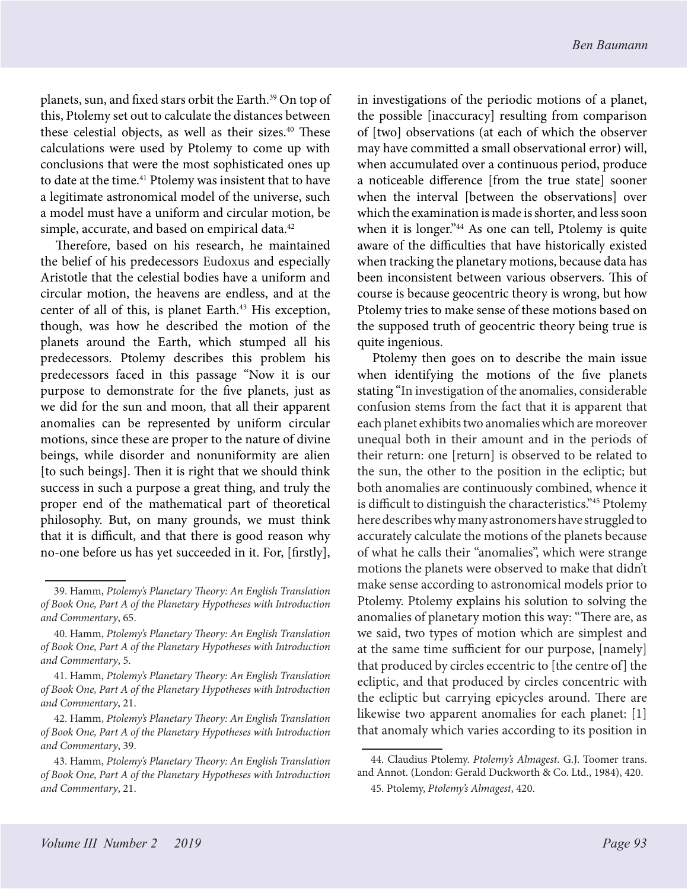planets, sun, and fixed stars orbit the Earth.<sup>39</sup> On top of this, Ptolemy set out to calculate the distances between these celestial objects, as well as their sizes.<sup>40</sup> These calculations were used by Ptolemy to come up with conclusions that were the most sophisticated ones up to date at the time.<sup>41</sup> Ptolemy was insistent that to have a legitimate astronomical model of the universe, such a model must have a uniform and circular motion, be simple, accurate, and based on empirical data.<sup>42</sup>

Therefore, based on his research, he maintained the belief of his predecessors Eudoxus and especially Aristotle that the celestial bodies have a uniform and circular motion, the heavens are endless, and at the center of all of this, is planet Earth.<sup>43</sup> His exception, though, was how he described the motion of the planets around the Earth, which stumped all his predecessors. Ptolemy describes this problem his predecessors faced in this passage "Now it is our purpose to demonstrate for the five planets, just as we did for the sun and moon, that all their apparent anomalies can be represented by uniform circular motions, since these are proper to the nature of divine beings, while disorder and nonuniformity are alien [to such beings]. Then it is right that we should think success in such a purpose a great thing, and truly the proper end of the mathematical part of theoretical philosophy. But, on many grounds, we must think that it is difficult, and that there is good reason why no-one before us has yet succeeded in it. For, [firstly],

in investigations of the periodic motions of a planet, the possible [inaccuracy] resulting from comparison of [two] observations (at each of which the observer may have committed a small observational error) will, when accumulated over a continuous period, produce a noticeable difference [from the true state] sooner when the interval [between the observations] over which the examination is made is shorter, and less soon when it is longer."<sup>44</sup> As one can tell, Ptolemy is quite aware of the difficulties that have historically existed when tracking the planetary motions, because data has been inconsistent between various observers. This of course is because geocentric theory is wrong, but how Ptolemy tries to make sense of these motions based on the supposed truth of geocentric theory being true is quite ingenious.

Ptolemy then goes on to describe the main issue when identifying the motions of the five planets stating "In investigation of the anomalies, considerable confusion stems from the fact that it is apparent that each planet exhibits two anomalies which are moreover unequal both in their amount and in the periods of their return: one [return] is observed to be related to the sun, the other to the position in the ecliptic; but both anomalies are continuously combined, whence it is difficult to distinguish the characteristics."45 Ptolemy here describes why many astronomers have struggled to accurately calculate the motions of the planets because of what he calls their "anomalies", which were strange motions the planets were observed to make that didn't make sense according to astronomical models prior to Ptolemy. Ptolemy explains his solution to solving the anomalies of planetary motion this way: "There are, as we said, two types of motion which are simplest and at the same time sufficient for our purpose, [namely] that produced by circles eccentric to [the centre of] the ecliptic, and that produced by circles concentric with the ecliptic but carrying epicycles around. There are likewise two apparent anomalies for each planet: [1] that anomaly which varies according to its position in

<sup>39.</sup> Hamm, *Ptolemy's Planetary Theory: An English Translation of Book One, Part A of the Planetary Hypotheses with Introduction and Commentary*, 65.

<sup>40.</sup> Hamm, *Ptolemy's Planetary Theory: An English Translation of Book One, Part A of the Planetary Hypotheses with Introduction and Commentary*, 5.

<sup>41.</sup> Hamm, *Ptolemy's Planetary Theory: An English Translation of Book One, Part A of the Planetary Hypotheses with Introduction and Commentary*, 21.

<sup>42.</sup> Hamm, *Ptolemy's Planetary Theory: An English Translation of Book One, Part A of the Planetary Hypotheses with Introduction and Commentary*, 39.

<sup>43.</sup> Hamm, *Ptolemy's Planetary Theory: An English Translation of Book One, Part A of the Planetary Hypotheses with Introduction and Commentary*, 21.

<sup>44.</sup> Claudius Ptolemy. *Ptolemy's Almagest*. G.J. Toomer trans. and Annot. (London: Gerald Duckworth & Co. Ltd., 1984), 420. 45. Ptolemy, *Ptolemy's Almagest*, 420.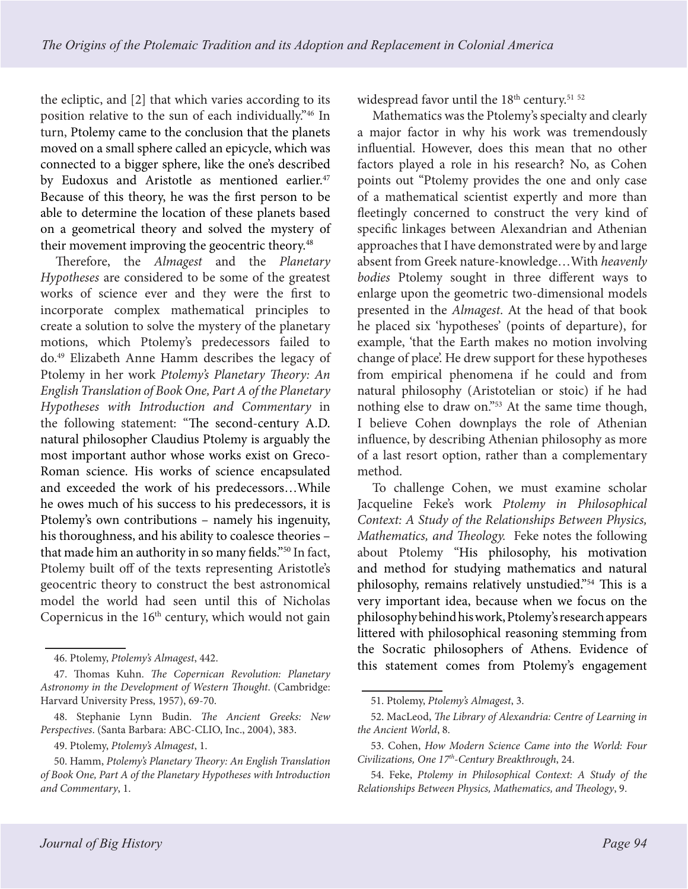the ecliptic, and [2] that which varies according to its position relative to the sun of each individually."46 In turn, Ptolemy came to the conclusion that the planets moved on a small sphere called an epicycle, which was connected to a bigger sphere, like the one's described by Eudoxus and Aristotle as mentioned earlier.<sup>47</sup> Because of this theory, he was the first person to be able to determine the location of these planets based on a geometrical theory and solved the mystery of their movement improving the geocentric theory.<sup>48</sup>

Therefore, the *Almagest* and the *Planetary Hypotheses* are considered to be some of the greatest works of science ever and they were the first to incorporate complex mathematical principles to create a solution to solve the mystery of the planetary motions, which Ptolemy's predecessors failed to do.49 Elizabeth Anne Hamm describes the legacy of Ptolemy in her work *Ptolemy's Planetary Theory: An English Translation of Book One, Part A of the Planetary Hypotheses with Introduction and Commentary* in the following statement: "The second-century A.D. natural philosopher Claudius Ptolemy is arguably the most important author whose works exist on Greco-Roman science. His works of science encapsulated and exceeded the work of his predecessors…While he owes much of his success to his predecessors, it is Ptolemy's own contributions – namely his ingenuity, his thoroughness, and his ability to coalesce theories – that made him an authority in so many fields."50 In fact, Ptolemy built off of the texts representing Aristotle's geocentric theory to construct the best astronomical model the world had seen until this of Nicholas Copernicus in the  $16<sup>th</sup>$  century, which would not gain

widespread favor until the 18<sup>th</sup> century.<sup>51 52</sup>

Mathematics was the Ptolemy's specialty and clearly a major factor in why his work was tremendously influential. However, does this mean that no other factors played a role in his research? No, as Cohen points out "Ptolemy provides the one and only case of a mathematical scientist expertly and more than fleetingly concerned to construct the very kind of specific linkages between Alexandrian and Athenian approaches that I have demonstrated were by and large absent from Greek nature-knowledge…With *heavenly bodies* Ptolemy sought in three different ways to enlarge upon the geometric two-dimensional models presented in the *Almagest*. At the head of that book he placed six 'hypotheses' (points of departure), for example, 'that the Earth makes no motion involving change of place'. He drew support for these hypotheses from empirical phenomena if he could and from natural philosophy (Aristotelian or stoic) if he had nothing else to draw on."<sup>53</sup> At the same time though, I believe Cohen downplays the role of Athenian influence, by describing Athenian philosophy as more of a last resort option, rather than a complementary method.

To challenge Cohen, we must examine scholar Jacqueline Feke's work *Ptolemy in Philosophical Context: A Study of the Relationships Between Physics, Mathematics, and Theology.* Feke notes the following about Ptolemy "His philosophy, his motivation and method for studying mathematics and natural philosophy, remains relatively unstudied."54 This is a very important idea, because when we focus on the philosophy behind his work, Ptolemy's research appears littered with philosophical reasoning stemming from the Socratic philosophers of Athens. Evidence of this statement comes from Ptolemy's engagement

<sup>46.</sup> Ptolemy, *Ptolemy's Almagest*, 442.

<sup>47.</sup> Thomas Kuhn. *The Copernican Revolution: Planetary Astronomy in the Development of Western Thought*. (Cambridge: Harvard University Press, 1957), 69-70.

<sup>48.</sup> Stephanie Lynn Budin. *The Ancient Greeks: New Perspectives*. (Santa Barbara: ABC-CLIO, Inc., 2004), 383.

<sup>49.</sup> Ptolemy, *Ptolemy's Almagest*, 1.

<sup>50.</sup> Hamm, *Ptolemy's Planetary Theory: An English Translation of Book One, Part A of the Planetary Hypotheses with Introduction and Commentary*, 1.

<sup>51.</sup> Ptolemy, *Ptolemy's Almagest*, 3.

<sup>52.</sup> MacLeod, *The Library of Alexandria: Centre of Learning in the Ancient World*, 8.

<sup>53.</sup> Cohen, *How Modern Science Came into the World: Four Civilizations, One 17th-Century Breakthrough*, 24.

<sup>54.</sup> Feke, *Ptolemy in Philosophical Context: A Study of the Relationships Between Physics, Mathematics, and Theology*, 9.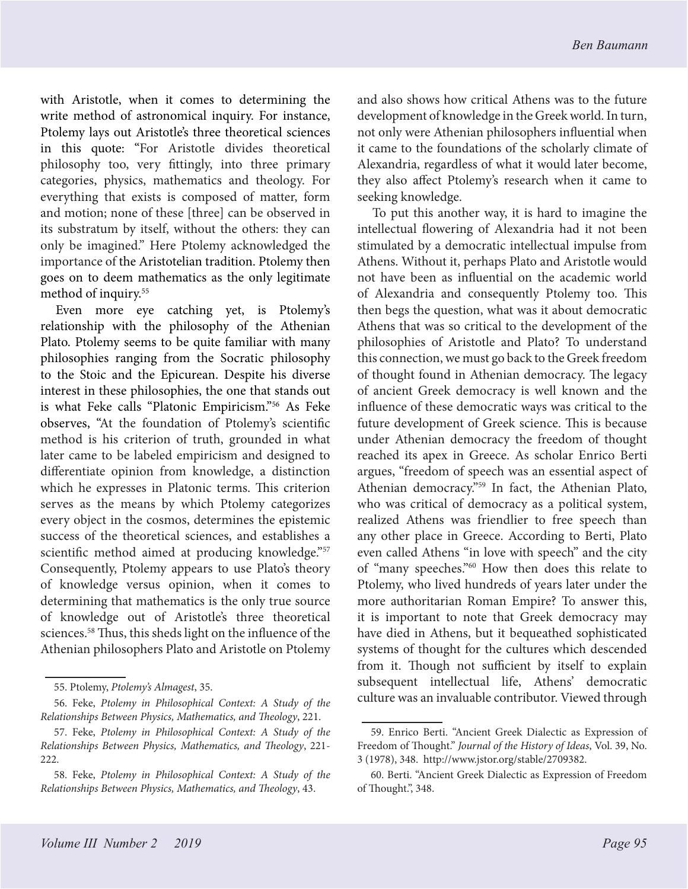with Aristotle, when it comes to determining the write method of astronomical inquiry. For instance, Ptolemy lays out Aristotle's three theoretical sciences in this quote: "For Aristotle divides theoretical philosophy too, very fittingly, into three primary categories, physics, mathematics and theology. For everything that exists is composed of matter, form and motion; none of these [three] can be observed in its substratum by itself, without the others: they can only be imagined." Here Ptolemy acknowledged the importance of the Aristotelian tradition. Ptolemy then goes on to deem mathematics as the only legitimate method of inquiry.55

Even more eye catching yet, is Ptolemy's relationship with the philosophy of the Athenian Plato. Ptolemy seems to be quite familiar with many philosophies ranging from the Socratic philosophy to the Stoic and the Epicurean. Despite his diverse interest in these philosophies, the one that stands out is what Feke calls "Platonic Empiricism."56 As Feke observes, "At the foundation of Ptolemy's scientific method is his criterion of truth, grounded in what later came to be labeled empiricism and designed to differentiate opinion from knowledge, a distinction which he expresses in Platonic terms. This criterion serves as the means by which Ptolemy categorizes every object in the cosmos, determines the epistemic success of the theoretical sciences, and establishes a scientific method aimed at producing knowledge."57 Consequently, Ptolemy appears to use Plato's theory of knowledge versus opinion, when it comes to determining that mathematics is the only true source of knowledge out of Aristotle's three theoretical sciences.<sup>58</sup> Thus, this sheds light on the influence of the Athenian philosophers Plato and Aristotle on Ptolemy and also shows how critical Athens was to the future development of knowledge in the Greek world. In turn, not only were Athenian philosophers influential when it came to the foundations of the scholarly climate of Alexandria, regardless of what it would later become, they also affect Ptolemy's research when it came to seeking knowledge.

To put this another way, it is hard to imagine the intellectual flowering of Alexandria had it not been stimulated by a democratic intellectual impulse from Athens. Without it, perhaps Plato and Aristotle would not have been as influential on the academic world of Alexandria and consequently Ptolemy too. This then begs the question, what was it about democratic Athens that was so critical to the development of the philosophies of Aristotle and Plato? To understand this connection, we must go back to the Greek freedom of thought found in Athenian democracy. The legacy of ancient Greek democracy is well known and the influence of these democratic ways was critical to the future development of Greek science. This is because under Athenian democracy the freedom of thought reached its apex in Greece. As scholar Enrico Berti argues, "freedom of speech was an essential aspect of Athenian democracy."59 In fact, the Athenian Plato, who was critical of democracy as a political system, realized Athens was friendlier to free speech than any other place in Greece. According to Berti, Plato even called Athens "in love with speech" and the city of "many speeches."60 How then does this relate to Ptolemy, who lived hundreds of years later under the more authoritarian Roman Empire? To answer this, it is important to note that Greek democracy may have died in Athens, but it bequeathed sophisticated systems of thought for the cultures which descended from it. Though not sufficient by itself to explain subsequent intellectual life, Athens' democratic culture was an invaluable contributor. Viewed through

<sup>55.</sup> Ptolemy, *Ptolemy's Almagest*, 35.

<sup>56.</sup> Feke, *Ptolemy in Philosophical Context: A Study of the Relationships Between Physics, Mathematics, and Theology*, 221.

<sup>57.</sup> Feke, *Ptolemy in Philosophical Context: A Study of the Relationships Between Physics, Mathematics, and Theology*, 221- 222.

<sup>58.</sup> Feke, *Ptolemy in Philosophical Context: A Study of the Relationships Between Physics, Mathematics, and Theology*, 43.

<sup>59.</sup> Enrico Berti. "Ancient Greek Dialectic as Expression of Freedom of Thought." *Journal of the History of Ideas*, Vol. 39, No. 3 (1978), 348. http://www.jstor.org/stable/2709382.

<sup>60.</sup> Berti. "Ancient Greek Dialectic as Expression of Freedom of Thought.", 348.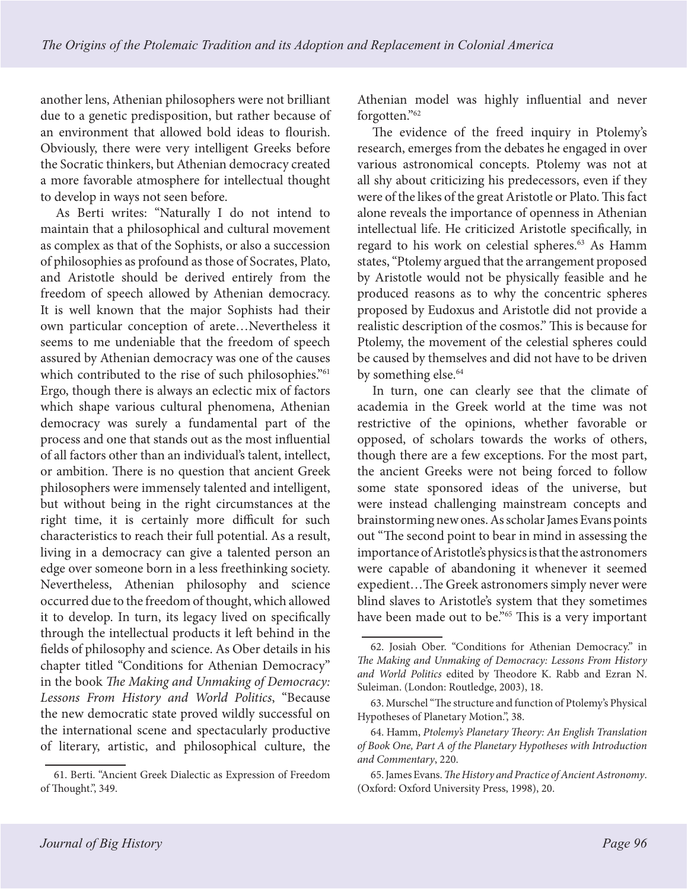another lens, Athenian philosophers were not brilliant due to a genetic predisposition, but rather because of an environment that allowed bold ideas to flourish. Obviously, there were very intelligent Greeks before the Socratic thinkers, but Athenian democracy created a more favorable atmosphere for intellectual thought to develop in ways not seen before.

As Berti writes: "Naturally I do not intend to maintain that a philosophical and cultural movement as complex as that of the Sophists, or also a succession of philosophies as profound as those of Socrates, Plato, and Aristotle should be derived entirely from the freedom of speech allowed by Athenian democracy. It is well known that the major Sophists had their own particular conception of arete…Nevertheless it seems to me undeniable that the freedom of speech assured by Athenian democracy was one of the causes which contributed to the rise of such philosophies."<sup>61</sup> Ergo, though there is always an eclectic mix of factors which shape various cultural phenomena, Athenian democracy was surely a fundamental part of the process and one that stands out as the most influential of all factors other than an individual's talent, intellect, or ambition. There is no question that ancient Greek philosophers were immensely talented and intelligent, but without being in the right circumstances at the right time, it is certainly more difficult for such characteristics to reach their full potential. As a result, living in a democracy can give a talented person an edge over someone born in a less freethinking society. Nevertheless, Athenian philosophy and science occurred due to the freedom of thought, which allowed it to develop. In turn, its legacy lived on specifically through the intellectual products it left behind in the fields of philosophy and science. As Ober details in his chapter titled "Conditions for Athenian Democracy" in the book *The Making and Unmaking of Democracy: Lessons From History and World Politics*, "Because the new democratic state proved wildly successful on the international scene and spectacularly productive of literary, artistic, and philosophical culture, the

Athenian model was highly influential and never forgotten."62

The evidence of the freed inquiry in Ptolemy's research, emerges from the debates he engaged in over various astronomical concepts. Ptolemy was not at all shy about criticizing his predecessors, even if they were of the likes of the great Aristotle or Plato. This fact alone reveals the importance of openness in Athenian intellectual life. He criticized Aristotle specifically, in regard to his work on celestial spheres.<sup>63</sup> As Hamm states, "Ptolemy argued that the arrangement proposed by Aristotle would not be physically feasible and he produced reasons as to why the concentric spheres proposed by Eudoxus and Aristotle did not provide a realistic description of the cosmos." This is because for Ptolemy, the movement of the celestial spheres could be caused by themselves and did not have to be driven by something else.<sup>64</sup>

In turn, one can clearly see that the climate of academia in the Greek world at the time was not restrictive of the opinions, whether favorable or opposed, of scholars towards the works of others, though there are a few exceptions. For the most part, the ancient Greeks were not being forced to follow some state sponsored ideas of the universe, but were instead challenging mainstream concepts and brainstorming new ones. As scholar James Evans points out "The second point to bear in mind in assessing the importance of Aristotle's physics is that the astronomers were capable of abandoning it whenever it seemed expedient…The Greek astronomers simply never were blind slaves to Aristotle's system that they sometimes have been made out to be."<sup>65</sup> This is a very important

<sup>61.</sup> Berti. "Ancient Greek Dialectic as Expression of Freedom of Thought.", 349.

<sup>62.</sup> Josiah Ober. "Conditions for Athenian Democracy." in *The Making and Unmaking of Democracy: Lessons From History and World Politics* edited by Theodore K. Rabb and Ezran N. Suleiman. (London: Routledge, 2003), 18.

<sup>63.</sup> Murschel "The structure and function of Ptolemy's Physical Hypotheses of Planetary Motion.", 38.

<sup>64.</sup> Hamm, *Ptolemy's Planetary Theory: An English Translation of Book One, Part A of the Planetary Hypotheses with Introduction and Commentary*, 220.

<sup>65.</sup> James Evans. *The History and Practice of Ancient Astronomy*. (Oxford: Oxford University Press, 1998), 20.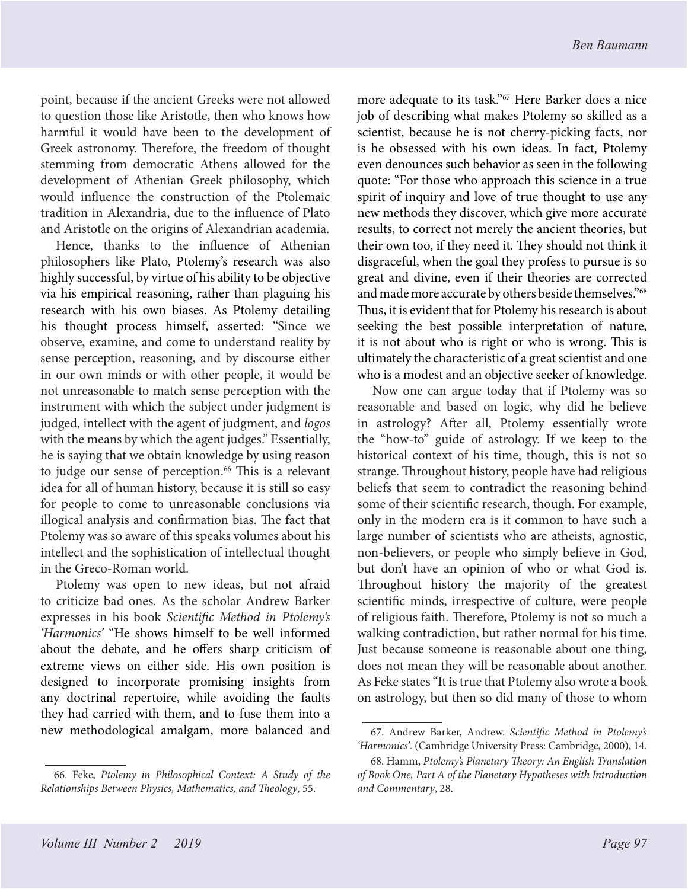point, because if the ancient Greeks were not allowed to question those like Aristotle, then who knows how harmful it would have been to the development of Greek astronomy. Therefore, the freedom of thought stemming from democratic Athens allowed for the development of Athenian Greek philosophy, which would influence the construction of the Ptolemaic tradition in Alexandria, due to the influence of Plato and Aristotle on the origins of Alexandrian academia.

Hence, thanks to the influence of Athenian philosophers like Plato, Ptolemy's research was also highly successful, by virtue of his ability to be objective via his empirical reasoning, rather than plaguing his research with his own biases. As Ptolemy detailing his thought process himself, asserted: "Since we observe, examine, and come to understand reality by sense perception, reasoning, and by discourse either in our own minds or with other people, it would be not unreasonable to match sense perception with the instrument with which the subject under judgment is judged, intellect with the agent of judgment, and *logos*  with the means by which the agent judges." Essentially, he is saying that we obtain knowledge by using reason to judge our sense of perception.<sup>66</sup> This is a relevant idea for all of human history, because it is still so easy for people to come to unreasonable conclusions via illogical analysis and confirmation bias. The fact that Ptolemy was so aware of this speaks volumes about his intellect and the sophistication of intellectual thought in the Greco-Roman world.

Ptolemy was open to new ideas, but not afraid to criticize bad ones. As the scholar Andrew Barker expresses in his book *Scientific Method in Ptolemy's 'Harmonics'* "He shows himself to be well informed about the debate, and he offers sharp criticism of extreme views on either side. His own position is designed to incorporate promising insights from any doctrinal repertoire, while avoiding the faults they had carried with them, and to fuse them into a new methodological amalgam, more balanced and

more adequate to its task."67 Here Barker does a nice job of describing what makes Ptolemy so skilled as a scientist, because he is not cherry-picking facts, nor is he obsessed with his own ideas. In fact, Ptolemy even denounces such behavior as seen in the following quote: "For those who approach this science in a true spirit of inquiry and love of true thought to use any new methods they discover, which give more accurate results, to correct not merely the ancient theories, but their own too, if they need it. They should not think it disgraceful, when the goal they profess to pursue is so great and divine, even if their theories are corrected and made more accurate by others beside themselves."68 Thus, it is evident that for Ptolemy his research is about seeking the best possible interpretation of nature, it is not about who is right or who is wrong. This is ultimately the characteristic of a great scientist and one who is a modest and an objective seeker of knowledge.

Now one can argue today that if Ptolemy was so reasonable and based on logic, why did he believe in astrology? After all, Ptolemy essentially wrote the "how-to" guide of astrology. If we keep to the historical context of his time, though, this is not so strange. Throughout history, people have had religious beliefs that seem to contradict the reasoning behind some of their scientific research, though. For example, only in the modern era is it common to have such a large number of scientists who are atheists, agnostic, non-believers, or people who simply believe in God, but don't have an opinion of who or what God is. Throughout history the majority of the greatest scientific minds, irrespective of culture, were people of religious faith. Therefore, Ptolemy is not so much a walking contradiction, but rather normal for his time. Just because someone is reasonable about one thing, does not mean they will be reasonable about another. As Feke states "It is true that Ptolemy also wrote a book on astrology, but then so did many of those to whom

<sup>66.</sup> Feke, *Ptolemy in Philosophical Context: A Study of the Relationships Between Physics, Mathematics, and Theology*, 55.

<sup>67.</sup> Andrew Barker, Andrew. *Scientific Method in Ptolemy's 'Harmonics'*. (Cambridge University Press: Cambridge, 2000), 14.

<sup>68.</sup> Hamm, *Ptolemy's Planetary Theory: An English Translation of Book One, Part A of the Planetary Hypotheses with Introduction and Commentary*, 28.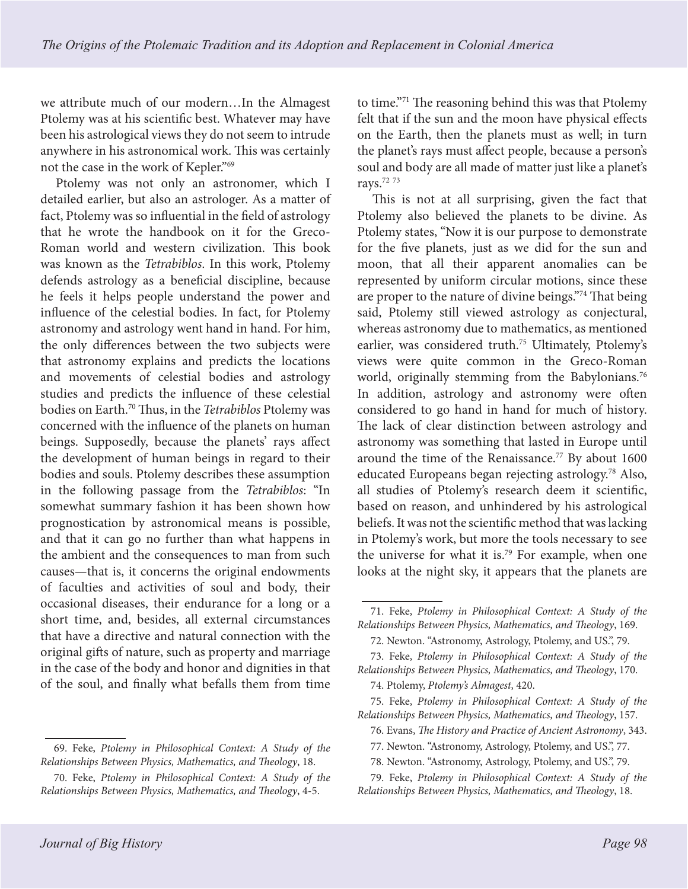we attribute much of our modern…In the Almagest Ptolemy was at his scientific best. Whatever may have been his astrological views they do not seem to intrude anywhere in his astronomical work. This was certainly not the case in the work of Kepler."69

Ptolemy was not only an astronomer, which I detailed earlier, but also an astrologer. As a matter of fact, Ptolemy was so influential in the field of astrology that he wrote the handbook on it for the Greco-Roman world and western civilization. This book was known as the *Tetrabiblos*. In this work, Ptolemy defends astrology as a beneficial discipline, because he feels it helps people understand the power and influence of the celestial bodies. In fact, for Ptolemy astronomy and astrology went hand in hand. For him, the only differences between the two subjects were that astronomy explains and predicts the locations and movements of celestial bodies and astrology studies and predicts the influence of these celestial bodies on Earth.70 Thus, in the *Tetrabiblos* Ptolemy was concerned with the influence of the planets on human beings. Supposedly, because the planets' rays affect the development of human beings in regard to their bodies and souls. Ptolemy describes these assumption in the following passage from the *Tetrabiblos*: "In somewhat summary fashion it has been shown how prognostication by astronomical means is possible, and that it can go no further than what happens in the ambient and the consequences to man from such causes—that is, it concerns the original endowments of faculties and activities of soul and body, their occasional diseases, their endurance for a long or a short time, and, besides, all external circumstances that have a directive and natural connection with the original gifts of nature, such as property and marriage in the case of the body and honor and dignities in that of the soul, and finally what befalls them from time

69. Feke, *Ptolemy in Philosophical Context: A Study of the Relationships Between Physics, Mathematics, and Theology*, 18.

to time."71 The reasoning behind this was that Ptolemy felt that if the sun and the moon have physical effects on the Earth, then the planets must as well; in turn the planet's rays must affect people, because a person's soul and body are all made of matter just like a planet's rays.72 <sup>73</sup>

This is not at all surprising, given the fact that Ptolemy also believed the planets to be divine. As Ptolemy states, "Now it is our purpose to demonstrate for the five planets, just as we did for the sun and moon, that all their apparent anomalies can be represented by uniform circular motions, since these are proper to the nature of divine beings."74 That being said, Ptolemy still viewed astrology as conjectural, whereas astronomy due to mathematics, as mentioned earlier, was considered truth.<sup>75</sup> Ultimately, Ptolemy's views were quite common in the Greco-Roman world, originally stemming from the Babylonians.<sup>76</sup> In addition, astrology and astronomy were often considered to go hand in hand for much of history. The lack of clear distinction between astrology and astronomy was something that lasted in Europe until around the time of the Renaissance.<sup>77</sup> By about 1600 educated Europeans began rejecting astrology.78 Also, all studies of Ptolemy's research deem it scientific, based on reason, and unhindered by his astrological beliefs. It was not the scientific method that was lacking in Ptolemy's work, but more the tools necessary to see the universe for what it is.<sup>79</sup> For example, when one looks at the night sky, it appears that the planets are

76. Evans, *The History and Practice of Ancient Astronomy*, 343.

<sup>70.</sup> Feke, *Ptolemy in Philosophical Context: A Study of the Relationships Between Physics, Mathematics, and Theology*, 4-5.

<sup>71.</sup> Feke, *Ptolemy in Philosophical Context: A Study of the Relationships Between Physics, Mathematics, and Theology*, 169.

<sup>72.</sup> Newton. "Astronomy, Astrology, Ptolemy, and US.", 79.

<sup>73.</sup> Feke, *Ptolemy in Philosophical Context: A Study of the Relationships Between Physics, Mathematics, and Theology*, 170.

<sup>74.</sup> Ptolemy, *Ptolemy's Almagest*, 420.

<sup>75.</sup> Feke, *Ptolemy in Philosophical Context: A Study of the Relationships Between Physics, Mathematics, and Theology*, 157.

<sup>77.</sup> Newton. "Astronomy, Astrology, Ptolemy, and US.", 77.

<sup>78.</sup> Newton. "Astronomy, Astrology, Ptolemy, and US.", 79.

<sup>79.</sup> Feke, *Ptolemy in Philosophical Context: A Study of the Relationships Between Physics, Mathematics, and Theology*, 18.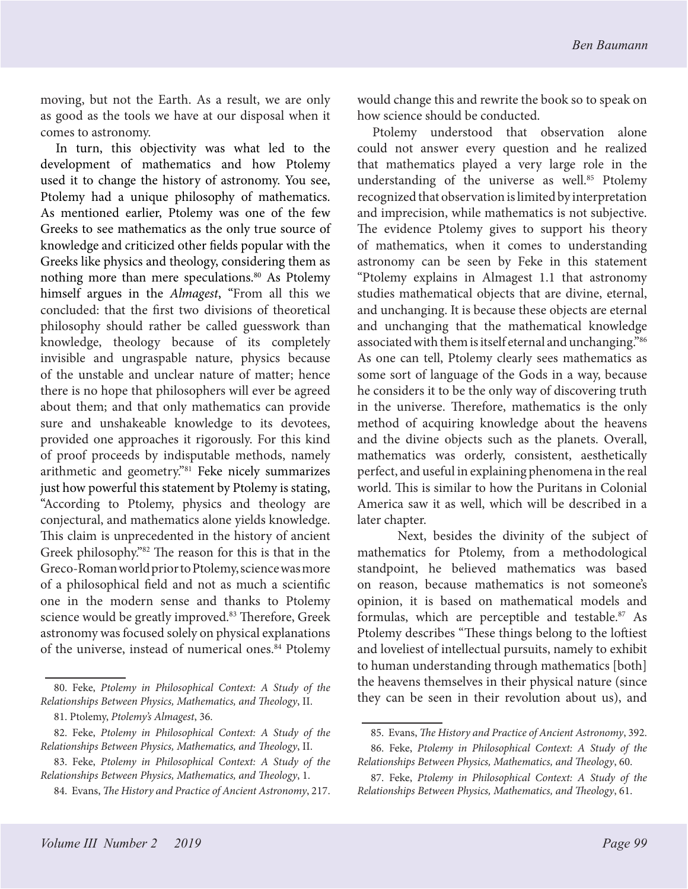moving, but not the Earth. As a result, we are only as good as the tools we have at our disposal when it comes to astronomy.

In turn, this objectivity was what led to the development of mathematics and how Ptolemy used it to change the history of astronomy. You see, Ptolemy had a unique philosophy of mathematics. As mentioned earlier, Ptolemy was one of the few Greeks to see mathematics as the only true source of knowledge and criticized other fields popular with the Greeks like physics and theology, considering them as nothing more than mere speculations.<sup>80</sup> As Ptolemy himself argues in the *Almagest*, "From all this we concluded: that the first two divisions of theoretical philosophy should rather be called guesswork than knowledge, theology because of its completely invisible and ungraspable nature, physics because of the unstable and unclear nature of matter; hence there is no hope that philosophers will ever be agreed about them; and that only mathematics can provide sure and unshakeable knowledge to its devotees, provided one approaches it rigorously. For this kind of proof proceeds by indisputable methods, namely arithmetic and geometry."81 Feke nicely summarizes just how powerful this statement by Ptolemy is stating, "According to Ptolemy, physics and theology are conjectural, and mathematics alone yields knowledge. This claim is unprecedented in the history of ancient Greek philosophy."82 The reason for this is that in the Greco-Roman world prior to Ptolemy, science was more of a philosophical field and not as much a scientific one in the modern sense and thanks to Ptolemy science would be greatly improved.<sup>83</sup> Therefore, Greek astronomy was focused solely on physical explanations of the universe, instead of numerical ones.<sup>84</sup> Ptolemy would change this and rewrite the book so to speak on how science should be conducted.

Ptolemy understood that observation alone could not answer every question and he realized that mathematics played a very large role in the understanding of the universe as well.<sup>85</sup> Ptolemy recognized that observation is limited by interpretation and imprecision, while mathematics is not subjective. The evidence Ptolemy gives to support his theory of mathematics, when it comes to understanding astronomy can be seen by Feke in this statement "Ptolemy explains in Almagest 1.1 that astronomy studies mathematical objects that are divine, eternal, and unchanging. It is because these objects are eternal and unchanging that the mathematical knowledge associated with them is itself eternal and unchanging."86 As one can tell, Ptolemy clearly sees mathematics as some sort of language of the Gods in a way, because he considers it to be the only way of discovering truth in the universe. Therefore, mathematics is the only method of acquiring knowledge about the heavens and the divine objects such as the planets. Overall, mathematics was orderly, consistent, aesthetically perfect, and useful in explaining phenomena in the real world. This is similar to how the Puritans in Colonial America saw it as well, which will be described in a later chapter.

Next, besides the divinity of the subject of mathematics for Ptolemy, from a methodological standpoint, he believed mathematics was based on reason, because mathematics is not someone's opinion, it is based on mathematical models and formulas, which are perceptible and testable.<sup>87</sup> As Ptolemy describes "These things belong to the loftiest and loveliest of intellectual pursuits, namely to exhibit to human understanding through mathematics [both] the heavens themselves in their physical nature (since they can be seen in their revolution about us), and

<sup>80.</sup> Feke, *Ptolemy in Philosophical Context: A Study of the Relationships Between Physics, Mathematics, and Theology*, II.

<sup>81.</sup> Ptolemy, *Ptolemy's Almagest*, 36.

<sup>82.</sup> Feke, *Ptolemy in Philosophical Context: A Study of the Relationships Between Physics, Mathematics, and Theology*, II.

<sup>83.</sup> Feke, *Ptolemy in Philosophical Context: A Study of the Relationships Between Physics, Mathematics, and Theology*, 1.

<sup>84.</sup> Evans, *The History and Practice of Ancient Astronomy*, 217.

<sup>85.</sup> Evans, *The History and Practice of Ancient Astronomy*, 392. 86. Feke, *Ptolemy in Philosophical Context: A Study of the* 

*Relationships Between Physics, Mathematics, and Theology*, 60. 87. Feke, *Ptolemy in Philosophical Context: A Study of the Relationships Between Physics, Mathematics, and Theology*, 61.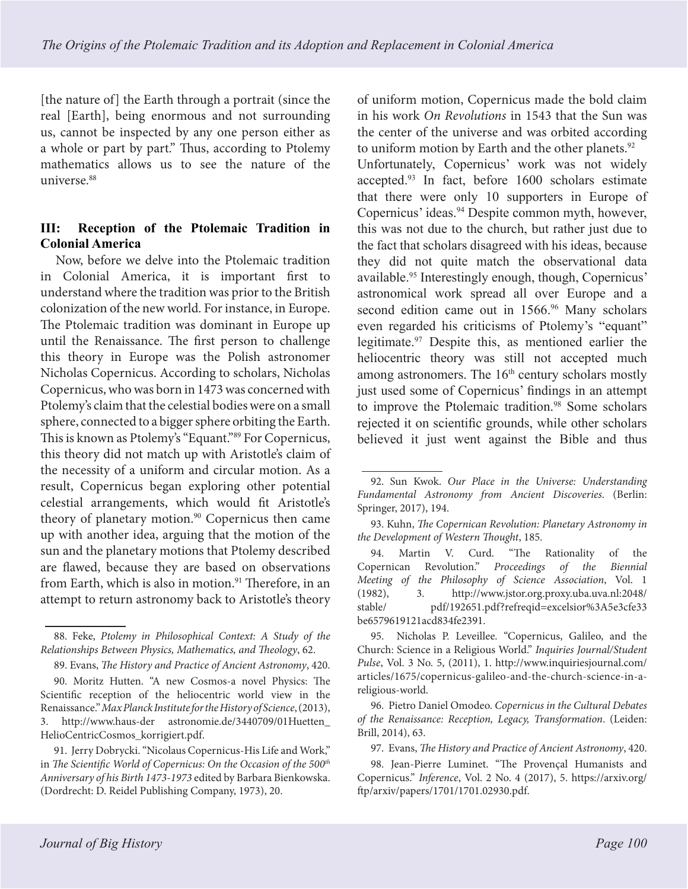[the nature of] the Earth through a portrait (since the real [Earth], being enormous and not surrounding us, cannot be inspected by any one person either as a whole or part by part." Thus, according to Ptolemy mathematics allows us to see the nature of the universe.<sup>88</sup>

# **III: Reception of the Ptolemaic Tradition in Colonial America**

Now, before we delve into the Ptolemaic tradition in Colonial America, it is important first to understand where the tradition was prior to the British colonization of the new world. For instance, in Europe. The Ptolemaic tradition was dominant in Europe up until the Renaissance. The first person to challenge this theory in Europe was the Polish astronomer Nicholas Copernicus. According to scholars, Nicholas Copernicus, who was born in 1473 was concerned with Ptolemy's claim that the celestial bodies were on a small sphere, connected to a bigger sphere orbiting the Earth. This is known as Ptolemy's "Equant."89 For Copernicus, this theory did not match up with Aristotle's claim of the necessity of a uniform and circular motion. As a result, Copernicus began exploring other potential celestial arrangements, which would fit Aristotle's theory of planetary motion.<sup>90</sup> Copernicus then came up with another idea, arguing that the motion of the sun and the planetary motions that Ptolemy described are flawed, because they are based on observations from Earth, which is also in motion.<sup>91</sup> Therefore, in an attempt to return astronomy back to Aristotle's theory of uniform motion, Copernicus made the bold claim in his work *On Revolutions* in 1543 that the Sun was the center of the universe and was orbited according to uniform motion by Earth and the other planets.<sup>92</sup>

Unfortunately, Copernicus' work was not widely accepted.93 In fact, before 1600 scholars estimate that there were only 10 supporters in Europe of Copernicus' ideas.<sup>94</sup> Despite common myth, however, this was not due to the church, but rather just due to the fact that scholars disagreed with his ideas, because they did not quite match the observational data available.<sup>95</sup> Interestingly enough, though, Copernicus' astronomical work spread all over Europe and a second edition came out in 1566.<sup>96</sup> Many scholars even regarded his criticisms of Ptolemy's "equant" legitimate.97 Despite this, as mentioned earlier the heliocentric theory was still not accepted much among astronomers. The  $16<sup>th</sup>$  century scholars mostly just used some of Copernicus' findings in an attempt to improve the Ptolemaic tradition.<sup>98</sup> Some scholars rejected it on scientific grounds, while other scholars believed it just went against the Bible and thus

<sup>88.</sup> Feke, *Ptolemy in Philosophical Context: A Study of the Relationships Between Physics, Mathematics, and Theology*, 62.

<sup>89.</sup> Evans, *The History and Practice of Ancient Astronomy*, 420.

<sup>90.</sup> Moritz Hutten. "A new Cosmos-a novel Physics: The Scientific reception of the heliocentric world view in the Renaissance." *Max Planck Institute for the History of Science*, (2013), 3. http://www.haus-der astronomie.de/3440709/01Huetten\_ HelioCentricCosmos\_korrigiert.pdf.

<sup>91.</sup> Jerry Dobrycki. "Nicolaus Copernicus-His Life and Work," in *The Scientific World of Copernicus: On the Occasion of the 500<sup>th</sup> Anniversary of his Birth 1473-1973* edited by Barbara Bienkowska. (Dordrecht: D. Reidel Publishing Company, 1973), 20.

<sup>92.</sup> Sun Kwok. *Our Place in the Universe: Understanding Fundamental Astronomy from Ancient Discoveries*. (Berlin: Springer, 2017), 194.

<sup>93.</sup> Kuhn, *The Copernican Revolution: Planetary Astronomy in the Development of Western Thought*, 185.

<sup>94.</sup> Martin V. Curd. "The Rationality of the Copernican Revolution." *Proceedings of the Biennial Meeting of the Philosophy of Science Association*, Vol. 1 (1982), 3. http://www.jstor.org.proxy.uba.uva.nl:2048/ stable/ pdf/192651.pdf?refreqid=excelsior%3A5e3cfe33 be6579619121acd834fe2391.

<sup>95.</sup> Nicholas P. Leveillee. "Copernicus, Galileo, and the Church: Science in a Religious World." *Inquiries Journal/Student Pulse*, Vol. 3 No. 5, (2011), 1. http://www.inquiriesjournal.com/ articles/1675/copernicus-galileo-and-the-church-science-in-areligious-world.

<sup>96.</sup> Pietro Daniel Omodeo. *Copernicus in the Cultural Debates of the Renaissance: Reception, Legacy, Transformation*. (Leiden: Brill, 2014), 63.

<sup>97.</sup> Evans, *The History and Practice of Ancient Astronomy*, 420.

<sup>98.</sup> Jean-Pierre Luminet. "The Provençal Humanists and Copernicus." *Inference*, Vol. 2 No. 4 (2017), 5. https://arxiv.org/ ftp/arxiv/papers/1701/1701.02930.pdf.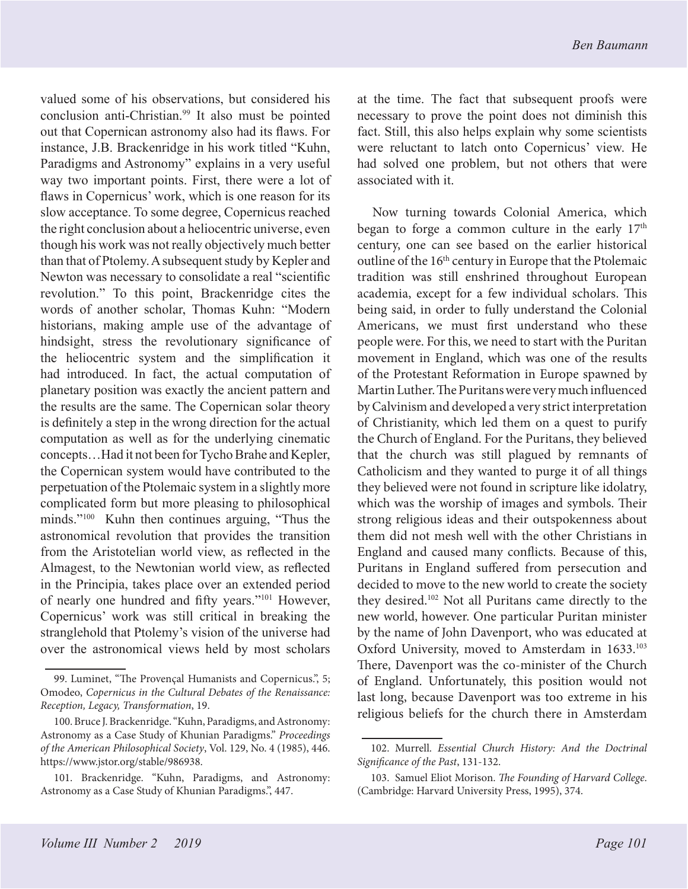valued some of his observations, but considered his conclusion anti-Christian.<sup>99</sup> It also must be pointed out that Copernican astronomy also had its flaws. For instance, J.B. Brackenridge in his work titled "Kuhn, Paradigms and Astronomy" explains in a very useful way two important points. First, there were a lot of flaws in Copernicus' work, which is one reason for its slow acceptance. To some degree, Copernicus reached the right conclusion about a heliocentric universe, even though his work was not really objectively much better than that of Ptolemy. A subsequent study by Kepler and Newton was necessary to consolidate a real "scientific revolution." To this point, Brackenridge cites the words of another scholar, Thomas Kuhn: "Modern historians, making ample use of the advantage of hindsight, stress the revolutionary significance of the heliocentric system and the simplification it had introduced. In fact, the actual computation of planetary position was exactly the ancient pattern and the results are the same. The Copernican solar theory is definitely a step in the wrong direction for the actual computation as well as for the underlying cinematic concepts…Had it not been for Tycho Brahe and Kepler, the Copernican system would have contributed to the perpetuation of the Ptolemaic system in a slightly more complicated form but more pleasing to philosophical minds."100 Kuhn then continues arguing, "Thus the astronomical revolution that provides the transition from the Aristotelian world view, as reflected in the Almagest, to the Newtonian world view, as reflected in the Principia, takes place over an extended period of nearly one hundred and fifty years."101 However, Copernicus' work was still critical in breaking the stranglehold that Ptolemy's vision of the universe had over the astronomical views held by most scholars

at the time. The fact that subsequent proofs were necessary to prove the point does not diminish this fact. Still, this also helps explain why some scientists were reluctant to latch onto Copernicus' view. He had solved one problem, but not others that were associated with it.

Now turning towards Colonial America, which began to forge a common culture in the early 17<sup>th</sup> century, one can see based on the earlier historical outline of the 16<sup>th</sup> century in Europe that the Ptolemaic tradition was still enshrined throughout European academia, except for a few individual scholars. This being said, in order to fully understand the Colonial Americans, we must first understand who these people were. For this, we need to start with the Puritan movement in England, which was one of the results of the Protestant Reformation in Europe spawned by Martin Luther. The Puritans were very much influenced by Calvinism and developed a very strict interpretation of Christianity, which led them on a quest to purify the Church of England. For the Puritans, they believed that the church was still plagued by remnants of Catholicism and they wanted to purge it of all things they believed were not found in scripture like idolatry, which was the worship of images and symbols. Their strong religious ideas and their outspokenness about them did not mesh well with the other Christians in England and caused many conflicts. Because of this, Puritans in England suffered from persecution and decided to move to the new world to create the society they desired.102 Not all Puritans came directly to the new world, however. One particular Puritan minister by the name of John Davenport, who was educated at Oxford University, moved to Amsterdam in 1633.<sup>103</sup> There, Davenport was the co-minister of the Church of England. Unfortunately, this position would not last long, because Davenport was too extreme in his religious beliefs for the church there in Amsterdam

<sup>99.</sup> Luminet, "The Provençal Humanists and Copernicus.", 5; Omodeo, *Copernicus in the Cultural Debates of the Renaissance: Reception, Legacy, Transformation*, 19.

<sup>100.</sup> Bruce J. Brackenridge. "Kuhn, Paradigms, and Astronomy: Astronomy as a Case Study of Khunian Paradigms." *Proceedings of the American Philosophical Society*, Vol. 129, No. 4 (1985), 446. https://www.jstor.org/stable/986938.

<sup>101.</sup> Brackenridge. "Kuhn, Paradigms, and Astronomy: Astronomy as a Case Study of Khunian Paradigms.", 447.

<sup>102.</sup> Murrell. *Essential Church History: And the Doctrinal Significance of the Past*, 131-132.

<sup>103.</sup> Samuel Eliot Morison. *The Founding of Harvard College*. (Cambridge: Harvard University Press, 1995), 374.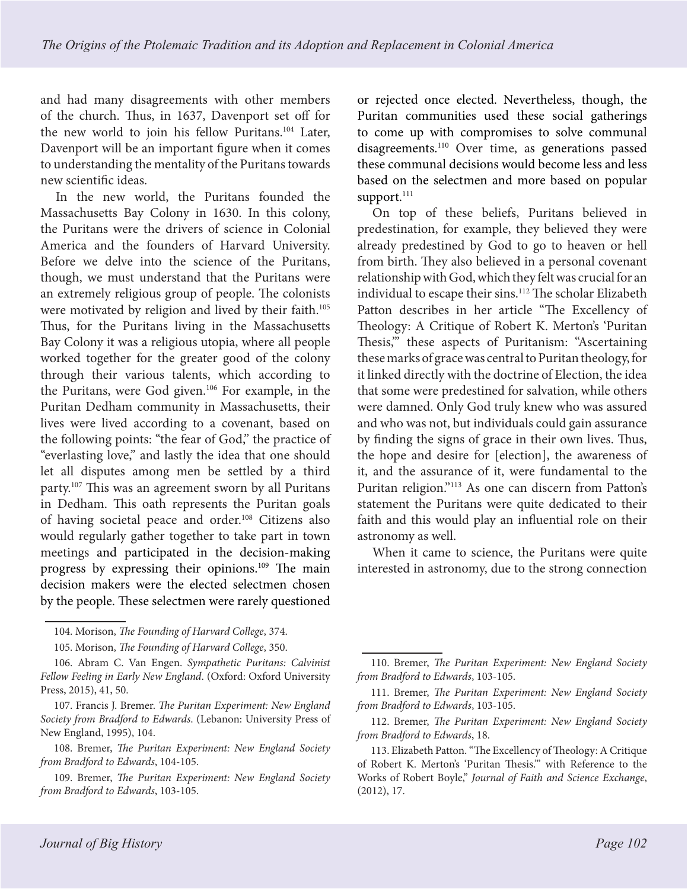and had many disagreements with other members of the church. Thus, in 1637, Davenport set off for the new world to join his fellow Puritans.104 Later, Davenport will be an important figure when it comes to understanding the mentality of the Puritans towards new scientific ideas.

In the new world, the Puritans founded the Massachusetts Bay Colony in 1630. In this colony, the Puritans were the drivers of science in Colonial America and the founders of Harvard University. Before we delve into the science of the Puritans, though, we must understand that the Puritans were an extremely religious group of people. The colonists were motivated by religion and lived by their faith.<sup>105</sup> Thus, for the Puritans living in the Massachusetts Bay Colony it was a religious utopia, where all people worked together for the greater good of the colony through their various talents, which according to the Puritans, were God given.<sup>106</sup> For example, in the Puritan Dedham community in Massachusetts, their lives were lived according to a covenant, based on the following points: "the fear of God," the practice of "everlasting love," and lastly the idea that one should let all disputes among men be settled by a third party.107 This was an agreement sworn by all Puritans in Dedham. This oath represents the Puritan goals of having societal peace and order.108 Citizens also would regularly gather together to take part in town meetings and participated in the decision-making progress by expressing their opinions.109 The main decision makers were the elected selectmen chosen by the people. These selectmen were rarely questioned

or rejected once elected. Nevertheless, though, the Puritan communities used these social gatherings to come up with compromises to solve communal disagreements.110 Over time, as generations passed these communal decisions would become less and less based on the selectmen and more based on popular support.<sup>111</sup>

On top of these beliefs, Puritans believed in predestination, for example, they believed they were already predestined by God to go to heaven or hell from birth. They also believed in a personal covenant relationship with God, which they felt was crucial for an individual to escape their sins.<sup>112</sup> The scholar Elizabeth Patton describes in her article "The Excellency of Theology: A Critique of Robert K. Merton's 'Puritan Thesis,'" these aspects of Puritanism: "Ascertaining these marks of grace was central to Puritan theology, for it linked directly with the doctrine of Election, the idea that some were predestined for salvation, while others were damned. Only God truly knew who was assured and who was not, but individuals could gain assurance by finding the signs of grace in their own lives. Thus, the hope and desire for [election], the awareness of it, and the assurance of it, were fundamental to the Puritan religion."113 As one can discern from Patton's statement the Puritans were quite dedicated to their faith and this would play an influential role on their astronomy as well.

When it came to science, the Puritans were quite interested in astronomy, due to the strong connection

<sup>104.</sup> Morison, *The Founding of Harvard College*, 374.

<sup>105.</sup> Morison, *The Founding of Harvard College*, 350.

<sup>106.</sup> Abram C. Van Engen. *Sympathetic Puritans: Calvinist Fellow Feeling in Early New England*. (Oxford: Oxford University Press, 2015), 41, 50.

<sup>107.</sup> Francis J. Bremer. *The Puritan Experiment: New England Society from Bradford to Edwards*. (Lebanon: University Press of New England, 1995), 104.

<sup>108.</sup> Bremer, *The Puritan Experiment: New England Society from Bradford to Edwards*, 104-105.

<sup>109.</sup> Bremer, *The Puritan Experiment: New England Society from Bradford to Edwards*, 103-105.

<sup>110.</sup> Bremer, *The Puritan Experiment: New England Society from Bradford to Edwards*, 103-105.

<sup>111.</sup> Bremer, *The Puritan Experiment: New England Society from Bradford to Edwards*, 103-105.

<sup>112.</sup> Bremer, *The Puritan Experiment: New England Society from Bradford to Edwards*, 18.

<sup>113.</sup> Elizabeth Patton. "The Excellency of Theology: A Critique of Robert K. Merton's 'Puritan Thesis.'" with Reference to the Works of Robert Boyle," *Journal of Faith and Science Exchange*, (2012), 17.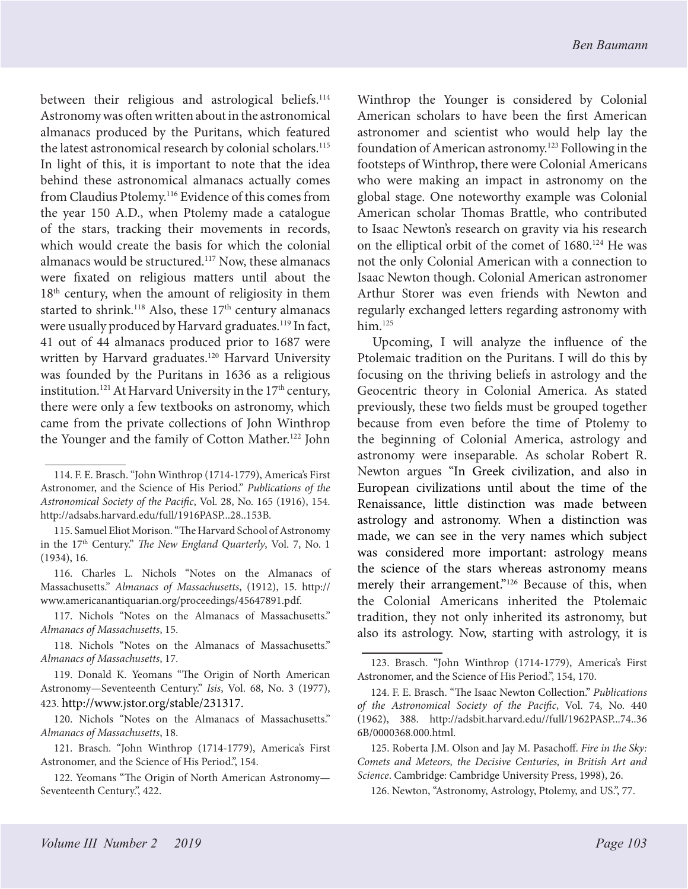between their religious and astrological beliefs.<sup>114</sup> Astronomy was often written about in the astronomical almanacs produced by the Puritans, which featured the latest astronomical research by colonial scholars.<sup>115</sup> In light of this, it is important to note that the idea behind these astronomical almanacs actually comes from Claudius Ptolemy.116 Evidence of this comes from the year 150 A.D., when Ptolemy made a catalogue of the stars, tracking their movements in records, which would create the basis for which the colonial almanacs would be structured.117 Now, these almanacs were fixated on religious matters until about the  $18<sup>th</sup>$  century, when the amount of religiosity in them started to shrink.<sup>118</sup> Also, these  $17<sup>th</sup>$  century almanacs were usually produced by Harvard graduates.<sup>119</sup> In fact, 41 out of 44 almanacs produced prior to 1687 were written by Harvard graduates.<sup>120</sup> Harvard University was founded by the Puritans in 1636 as a religious institution.<sup>121</sup> At Harvard University in the 17<sup>th</sup> century, there were only a few textbooks on astronomy, which came from the private collections of John Winthrop the Younger and the family of Cotton Mather.122 John

117. Nichols "Notes on the Almanacs of Massachusetts." *Almanacs of Massachusetts*, 15.

118. Nichols "Notes on the Almanacs of Massachusetts." *Almanacs of Massachusetts*, 17.

119. Donald K. Yeomans "The Origin of North American Astronomy—Seventeenth Century." *Isis*, Vol. 68, No. 3 (1977), 423. http://www.jstor.org/stable/231317.

120. Nichols "Notes on the Almanacs of Massachusetts." *Almanacs of Massachusetts*, 18.

121. Brasch. "John Winthrop (1714-1779), America's First Astronomer, and the Science of His Period.", 154.

Winthrop the Younger is considered by Colonial American scholars to have been the first American astronomer and scientist who would help lay the foundation of American astronomy.123 Following in the footsteps of Winthrop, there were Colonial Americans who were making an impact in astronomy on the global stage. One noteworthy example was Colonial American scholar Thomas Brattle, who contributed to Isaac Newton's research on gravity via his research on the elliptical orbit of the comet of 1680.<sup>124</sup> He was not the only Colonial American with a connection to Isaac Newton though. Colonial American astronomer Arthur Storer was even friends with Newton and regularly exchanged letters regarding astronomy with  $him.<sup>125</sup>$ 

Upcoming, I will analyze the influence of the Ptolemaic tradition on the Puritans. I will do this by focusing on the thriving beliefs in astrology and the Geocentric theory in Colonial America. As stated previously, these two fields must be grouped together because from even before the time of Ptolemy to the beginning of Colonial America, astrology and astronomy were inseparable. As scholar Robert R. Newton argues "In Greek civilization, and also in European civilizations until about the time of the Renaissance, little distinction was made between astrology and astronomy. When a distinction was made, we can see in the very names which subject was considered more important: astrology means the science of the stars whereas astronomy means merely their arrangement."<sup>126</sup> Because of this, when the Colonial Americans inherited the Ptolemaic tradition, they not only inherited its astronomy, but also its astrology. Now, starting with astrology, it is

<sup>114.</sup> F. E. Brasch. "John Winthrop (1714-1779), America's First Astronomer, and the Science of His Period." *Publications of the Astronomical Society of the Pacific*, Vol. 28, No. 165 (1916), 154. http://adsabs.harvard.edu/full/1916PASP...28..153B.

<sup>115.</sup> Samuel Eliot Morison. "The Harvard School of Astronomy in the 17<sup>th</sup> Century." *The New England Quarterly*, Vol. 7, No. 1 (1934), 16.

<sup>116.</sup> Charles L. Nichols "Notes on the Almanacs of Massachusetts." *Almanacs of Massachusetts*, (1912), 15. http:// www.americanantiquarian.org/proceedings/45647891.pdf.

<sup>122.</sup> Yeomans "The Origin of North American Astronomy— Seventeenth Century.", 422.

<sup>123.</sup> Brasch. "John Winthrop (1714-1779), America's First Astronomer, and the Science of His Period.", 154, 170.

<sup>124.</sup> F. E. Brasch. "The Isaac Newton Collection." *Publications of the Astronomical Society of the Pacific*, Vol. 74, No. 440 (1962), 388. http://adsbit.harvard.edu//full/1962PASP...74..36 6B/0000368.000.html.

<sup>125.</sup> Roberta J.M. Olson and Jay M. Pasachoff. *Fire in the Sky: Comets and Meteors, the Decisive Centuries, in British Art and Science*. Cambridge: Cambridge University Press, 1998), 26.

<sup>126.</sup> Newton, "Astronomy, Astrology, Ptolemy, and US.", 77.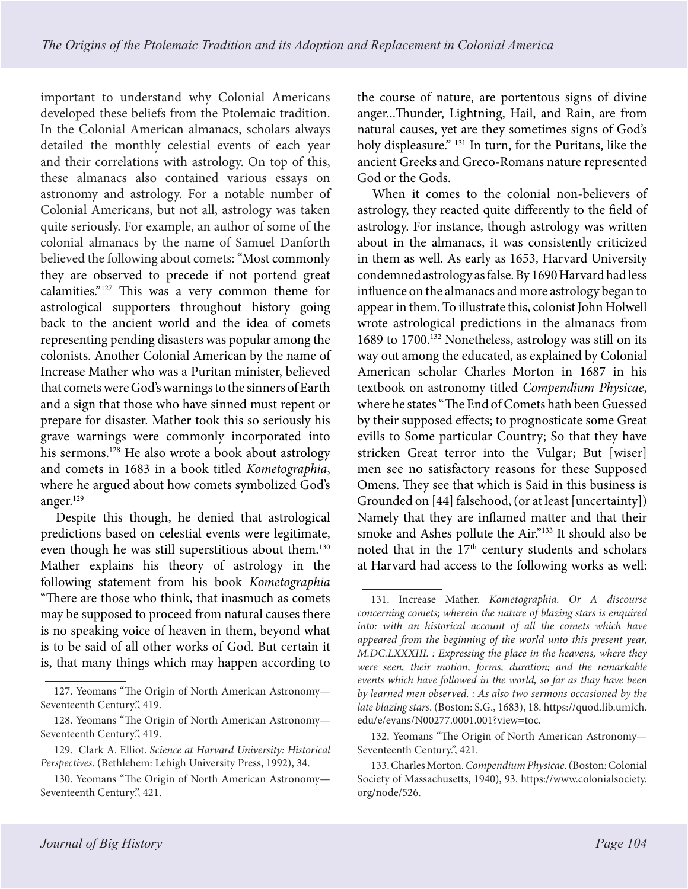important to understand why Colonial Americans developed these beliefs from the Ptolemaic tradition. In the Colonial American almanacs, scholars always detailed the monthly celestial events of each year and their correlations with astrology. On top of this, these almanacs also contained various essays on astronomy and astrology. For a notable number of Colonial Americans, but not all, astrology was taken quite seriously. For example, an author of some of the colonial almanacs by the name of Samuel Danforth believed the following about comets: "Most commonly they are observed to precede if not portend great calamities."127 This was a very common theme for astrological supporters throughout history going back to the ancient world and the idea of comets representing pending disasters was popular among the colonists. Another Colonial American by the name of Increase Mather who was a Puritan minister, believed that comets were God's warnings to the sinners of Earth and a sign that those who have sinned must repent or prepare for disaster. Mather took this so seriously his grave warnings were commonly incorporated into his sermons.<sup>128</sup> He also wrote a book about astrology and comets in 1683 in a book titled *Kometographia*, where he argued about how comets symbolized God's anger.129

Despite this though, he denied that astrological predictions based on celestial events were legitimate, even though he was still superstitious about them.<sup>130</sup> Mather explains his theory of astrology in the following statement from his book *Kometographia* "There are those who think, that inasmuch as comets may be supposed to proceed from natural causes there is no speaking voice of heaven in them, beyond what is to be said of all other works of God. But certain it is, that many things which may happen according to

the course of nature, are portentous signs of divine anger...Thunder, Lightning, Hail, and Rain, are from natural causes, yet are they sometimes signs of God's holy displeasure." 131 In turn, for the Puritans, like the ancient Greeks and Greco-Romans nature represented God or the Gods.

When it comes to the colonial non-believers of astrology, they reacted quite differently to the field of astrology. For instance, though astrology was written about in the almanacs, it was consistently criticized in them as well. As early as 1653, Harvard University condemned astrology as false. By 1690 Harvard had less influence on the almanacs and more astrology began to appear in them. To illustrate this, colonist John Holwell wrote astrological predictions in the almanacs from 1689 to 1700.132 Nonetheless, astrology was still on its way out among the educated, as explained by Colonial American scholar Charles Morton in 1687 in his textbook on astronomy titled *Compendium Physicae*, where he states "The End of Comets hath been Guessed by their supposed effects; to prognosticate some Great evills to Some particular Country; So that they have stricken Great terror into the Vulgar; But [wiser] men see no satisfactory reasons for these Supposed Omens. They see that which is Said in this business is Grounded on [44] falsehood, (or at least [uncertainty]) Namely that they are inflamed matter and that their smoke and Ashes pollute the Air."133 It should also be noted that in the 17<sup>th</sup> century students and scholars at Harvard had access to the following works as well:

<sup>127.</sup> Yeomans "The Origin of North American Astronomy— Seventeenth Century.", 419.

<sup>128.</sup> Yeomans "The Origin of North American Astronomy— Seventeenth Century.", 419.

<sup>129.</sup> Clark A. Elliot. *Science at Harvard University: Historical Perspectives*. (Bethlehem: Lehigh University Press, 1992), 34.

<sup>130.</sup> Yeomans "The Origin of North American Astronomy— Seventeenth Century.", 421.

<sup>131.</sup> Increase Mather. *Kometographia. Or A discourse concerning comets; wherein the nature of blazing stars is enquired into: with an historical account of all the comets which have appeared from the beginning of the world unto this present year, M.DC.LXXXIII. : Expressing the place in the heavens, where they were seen, their motion, forms, duration; and the remarkable events which have followed in the world, so far as thay have been by learned men observed. : As also two sermons occasioned by the late blazing stars*. (Boston: S.G., 1683), 18. https://quod.lib.umich. edu/e/evans/N00277.0001.001?view=toc.

<sup>132.</sup> Yeomans "The Origin of North American Astronomy— Seventeenth Century.", 421.

<sup>133.</sup> Charles Morton. *Compendium Physicae*. (Boston: Colonial Society of Massachusetts, 1940), 93. https://www.colonialsociety. org/node/526.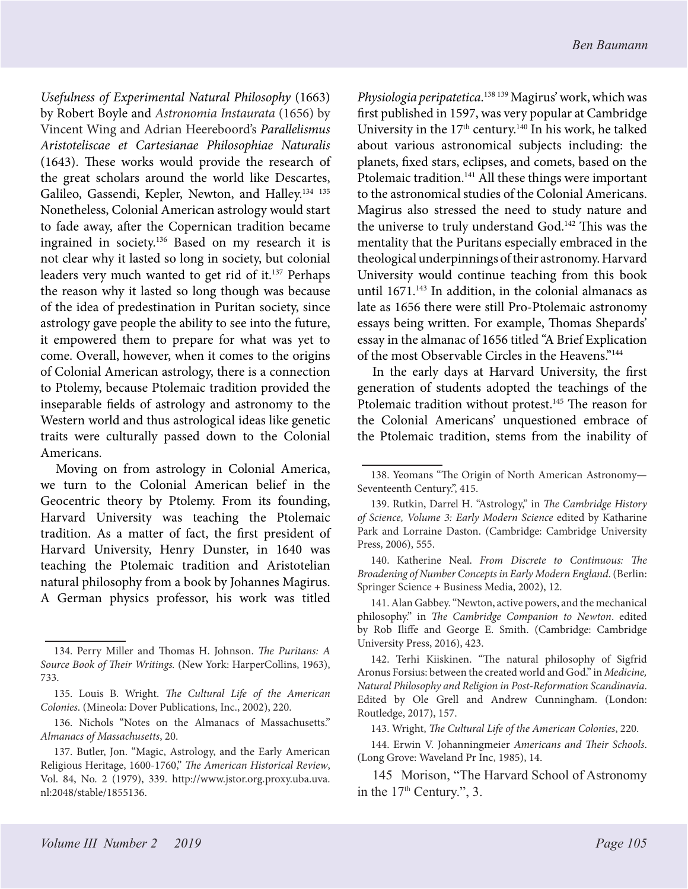*Usefulness of Experimental Natural Philosophy* (1663) by Robert Boyle and *Astronomia Instaurata* (1656) by Vincent Wing and Adrian Heereboord's *Parallelismus Aristoteliscae et Cartesianae Philosophiae Naturalis* (1643). These works would provide the research of the great scholars around the world like Descartes, Galileo, Gassendi, Kepler, Newton, and Halley.134 <sup>135</sup> Nonetheless, Colonial American astrology would start to fade away, after the Copernican tradition became ingrained in society.136 Based on my research it is not clear why it lasted so long in society, but colonial leaders very much wanted to get rid of it.<sup>137</sup> Perhaps the reason why it lasted so long though was because of the idea of predestination in Puritan society, since astrology gave people the ability to see into the future, it empowered them to prepare for what was yet to come. Overall, however, when it comes to the origins of Colonial American astrology, there is a connection to Ptolemy, because Ptolemaic tradition provided the inseparable fields of astrology and astronomy to the Western world and thus astrological ideas like genetic traits were culturally passed down to the Colonial Americans.

Moving on from astrology in Colonial America, we turn to the Colonial American belief in the Geocentric theory by Ptolemy. From its founding, Harvard University was teaching the Ptolemaic tradition. As a matter of fact, the first president of Harvard University, Henry Dunster, in 1640 was teaching the Ptolemaic tradition and Aristotelian natural philosophy from a book by Johannes Magirus. A German physics professor, his work was titled

*Physiologia peripatetica*. <sup>138</sup> 139 Magirus' work, which was first published in 1597, was very popular at Cambridge University in the  $17<sup>th</sup>$  century.<sup>140</sup> In his work, he talked about various astronomical subjects including: the planets, fixed stars, eclipses, and comets, based on the Ptolemaic tradition.<sup>141</sup> All these things were important to the astronomical studies of the Colonial Americans. Magirus also stressed the need to study nature and the universe to truly understand God.<sup>142</sup> This was the mentality that the Puritans especially embraced in the theological underpinnings of their astronomy. Harvard University would continue teaching from this book until  $1671$ .<sup>143</sup> In addition, in the colonial almanacs as late as 1656 there were still Pro-Ptolemaic astronomy essays being written. For example, Thomas Shepards' essay in the almanac of 1656 titled "A Brief Explication of the most Observable Circles in the Heavens."<sup>144</sup>

In the early days at Harvard University, the first generation of students adopted the teachings of the Ptolemaic tradition without protest.<sup>145</sup> The reason for the Colonial Americans' unquestioned embrace of the Ptolemaic tradition, stems from the inability of

143. Wright, *The Cultural Life of the American Colonies*, 220.

<sup>134.</sup> Perry Miller and Thomas H. Johnson. *The Puritans: A Source Book of Their Writings.* (New York: HarperCollins, 1963), 733.

<sup>135.</sup> Louis B. Wright. *The Cultural Life of the American Colonies*. (Mineola: Dover Publications, Inc., 2002), 220.

<sup>136.</sup> Nichols "Notes on the Almanacs of Massachusetts." *Almanacs of Massachusetts*, 20.

<sup>137.</sup> Butler, Jon. "Magic, Astrology, and the Early American Religious Heritage, 1600-1760," *The American Historical Review*, Vol. 84, No. 2 (1979), 339. http://www.jstor.org.proxy.uba.uva. nl:2048/stable/1855136.

<sup>138.</sup> Yeomans "The Origin of North American Astronomy— Seventeenth Century.", 415.

<sup>139.</sup> Rutkin, Darrel H. "Astrology," in *The Cambridge History of Science, Volume 3: Early Modern Science* edited by Katharine Park and Lorraine Daston. (Cambridge: Cambridge University Press, 2006), 555.

<sup>140.</sup> Katherine Neal. *From Discrete to Continuous: The Broadening of Number Concepts in Early Modern England*. (Berlin: Springer Science + Business Media, 2002), 12.

<sup>141.</sup> Alan Gabbey. "Newton, active powers, and the mechanical philosophy." in *The Cambridge Companion to Newton*. edited by Rob Iliffe and George E. Smith. (Cambridge: Cambridge University Press, 2016), 423.

<sup>142.</sup> Terhi Kiiskinen. "The natural philosophy of Sigfrid Aronus Forsius: between the created world and God." in *Medicine, Natural Philosophy and Religion in Post-Reformation Scandinavia*. Edited by Ole Grell and Andrew Cunningham. (London: Routledge, 2017), 157.

<sup>144.</sup> Erwin V. Johanningmeier *Americans and Their Schools*. (Long Grove: Waveland Pr Inc, 1985), 14.

<sup>145</sup> Morison, "The Harvard School of Astronomy in the 17<sup>th</sup> Century.", 3.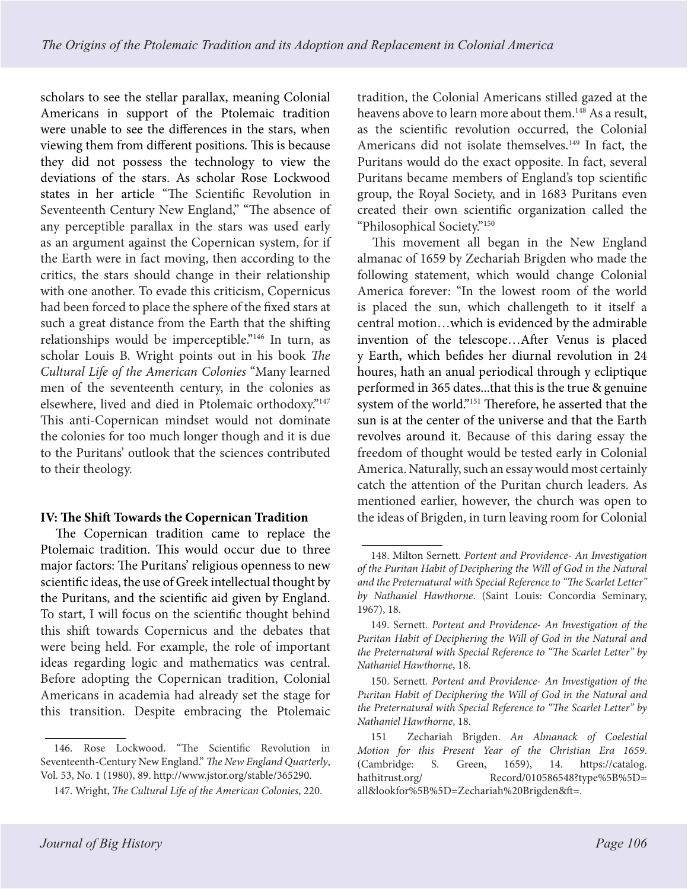scholars to see the stellar parallax, meaning Colonial Americans in support of the Ptolemaic tradition were unable to see the differences in the stars, when viewing them from different positions. This is because they did not possess the technology to view the deviations of the stars. As scholar Rose Lockwood states in her article "The Scientific Revolution in Seventeenth Century New England," "The absence of any perceptible parallax in the stars was used early as an argument against the Copernican system, for if the Earth were in fact moving, then according to the critics, the stars should change in their relationship with one another. To evade this criticism, Copernicus had been forced to place the sphere of the fixed stars at such a great distance from the Earth that the shifting relationships would be imperceptible."146 In turn, as scholar Louis B. Wright points out in his book *The Cultural Life of the American Colonies* "Many learned men of the seventeenth century, in the colonies as elsewhere, lived and died in Ptolemaic orthodoxy."147 This anti-Copernican mindset would not dominate the colonies for too much longer though and it is due to the Puritans' outlook that the sciences contributed to their theology.

## **IV: The Shift Towards the Copernican Tradition**

The Copernican tradition came to replace the Ptolemaic tradition. This would occur due to three major factors: The Puritans' religious openness to new scientific ideas, the use of Greek intellectual thought by the Puritans, and the scientific aid given by England. To start, I will focus on the scientific thought behind this shift towards Copernicus and the debates that were being held. For example, the role of important ideas regarding logic and mathematics was central. Before adopting the Copernican tradition, Colonial Americans in academia had already set the stage for this transition. Despite embracing the Ptolemaic

tradition, the Colonial Americans stilled gazed at the heavens above to learn more about them.<sup>148</sup> As a result, as the scientific revolution occurred, the Colonial Americans did not isolate themselves.<sup>149</sup> In fact, the Puritans would do the exact opposite. In fact, several Puritans became members of England's top scientific group, the Royal Society, and in 1683 Puritans even created their own scientific organization called the "Philosophical Society."150

This movement all began in the New England almanac of 1659 by Zechariah Brigden who made the following statement, which would change Colonial America forever: "In the lowest room of the world is placed the sun, which challengeth to it itself a central motion…which is evidenced by the admirable invention of the telescope…After Venus is placed y Earth, which befides her diurnal revolution in 24 houres, hath an anual periodical through y ecliptique performed in 365 dates...that this is the true & genuine system of the world."151 Therefore, he asserted that the sun is at the center of the universe and that the Earth revolves around it. Because of this daring essay the freedom of thought would be tested early in Colonial America. Naturally, such an essay would most certainly catch the attention of the Puritan church leaders. As mentioned earlier, however, the church was open to the ideas of Brigden, in turn leaving room for Colonial

<sup>146.</sup> Rose Lockwood. "The Scientific Revolution in Seventeenth-Century New England." *The New England Quarterly*, Vol. 53, No. 1 (1980), 89. http://www.jstor.org/stable/365290.

<sup>147.</sup> Wright, *The Cultural Life of the American Colonies*, 220.

<sup>148.</sup> Milton Sernett*. Portent and Providence- An Investigation of the Puritan Habit of Deciphering the Will of God in the Natural and the Preternatural with Special Reference to "The Scarlet Letter" by Nathaniel Hawthorne*. (Saint Louis: Concordia Seminary, 1967), 18.

<sup>149.</sup> Sernett*. Portent and Providence- An Investigation of the Puritan Habit of Deciphering the Will of God in the Natural and the Preternatural with Special Reference to "The Scarlet Letter" by Nathaniel Hawthorne*, 18.

<sup>150.</sup> Sernett*. Portent and Providence- An Investigation of the Puritan Habit of Deciphering the Will of God in the Natural and the Preternatural with Special Reference to "The Scarlet Letter" by Nathaniel Hawthorne*, 18.

<sup>151</sup> Zechariah Brigden. *An Almanack of Coelestial Motion for this Present Year of the Christian Era 1659*. (Cambridge: S. Green, 1659), 14. https://catalog.<br>hathitrust.org/ Record/010586548?type%5B%5D= Record/010586548?type%5B%5D= all&lookfor%5B%5D=Zechariah%20Brigden&ft=.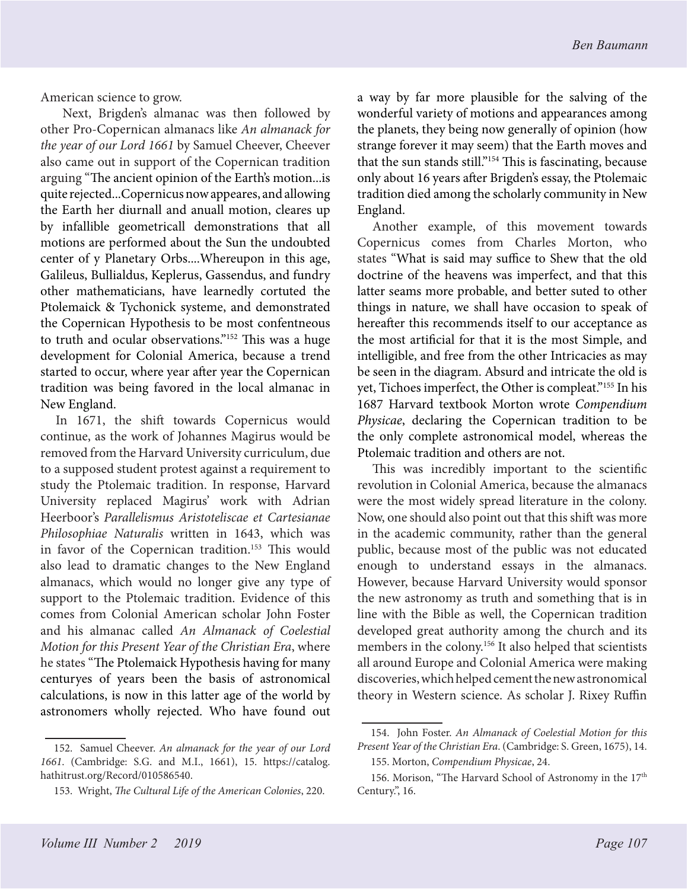American science to grow.

 Next, Brigden's almanac was then followed by other Pro-Copernican almanacs like *An almanack for the year of our Lord 1661* by Samuel Cheever, Cheever also came out in support of the Copernican tradition arguing "The ancient opinion of the Earth's motion...is quite rejected...Copernicus now appeares, and allowing the Earth her diurnall and anuall motion, cleares up by infallible geometricall demonstrations that all motions are performed about the Sun the undoubted center of y Planetary Orbs....Whereupon in this age, Galileus, Bullialdus, Keplerus, Gassendus, and fundry other mathematicians, have learnedly cortuted the Ptolemaick & Tychonick systeme, and demonstrated the Copernican Hypothesis to be most confentneous to truth and ocular observations."152 This was a huge development for Colonial America, because a trend started to occur, where year after year the Copernican tradition was being favored in the local almanac in New England.

In 1671, the shift towards Copernicus would continue, as the work of Johannes Magirus would be removed from the Harvard University curriculum, due to a supposed student protest against a requirement to study the Ptolemaic tradition. In response, Harvard University replaced Magirus' work with Adrian Heerboor's *Parallelismus Aristoteliscae et Cartesianae Philosophiae Naturalis* written in 1643, which was in favor of the Copernican tradition.<sup>153</sup> This would also lead to dramatic changes to the New England almanacs, which would no longer give any type of support to the Ptolemaic tradition. Evidence of this comes from Colonial American scholar John Foster and his almanac called *An Almanack of Coelestial Motion for this Present Year of the Christian Era*, where he states "The Ptolemaick Hypothesis having for many centuryes of years been the basis of astronomical calculations, is now in this latter age of the world by astronomers wholly rejected. Who have found out

a way by far more plausible for the salving of the wonderful variety of motions and appearances among the planets, they being now generally of opinion (how strange forever it may seem) that the Earth moves and that the sun stands still."154 This is fascinating, because only about 16 years after Brigden's essay, the Ptolemaic tradition died among the scholarly community in New England.

Another example, of this movement towards Copernicus comes from Charles Morton, who states "What is said may suffice to Shew that the old doctrine of the heavens was imperfect, and that this latter seams more probable, and better suted to other things in nature, we shall have occasion to speak of hereafter this recommends itself to our acceptance as the most artificial for that it is the most Simple, and intelligible, and free from the other Intricacies as may be seen in the diagram. Absurd and intricate the old is yet, Tichoes imperfect, the Other is compleat."155 In his 1687 Harvard textbook Morton wrote *Compendium Physicae*, declaring the Copernican tradition to be the only complete astronomical model, whereas the Ptolemaic tradition and others are not.

This was incredibly important to the scientific revolution in Colonial America, because the almanacs were the most widely spread literature in the colony. Now, one should also point out that this shift was more in the academic community, rather than the general public, because most of the public was not educated enough to understand essays in the almanacs. However, because Harvard University would sponsor the new astronomy as truth and something that is in line with the Bible as well, the Copernican tradition developed great authority among the church and its members in the colony.<sup>156</sup> It also helped that scientists all around Europe and Colonial America were making discoveries, which helped cement the new astronomical theory in Western science. As scholar J. Rixey Ruffin

<sup>152.</sup> Samuel Cheever. *An almanack for the year of our Lord 1661*. (Cambridge: S.G. and M.I., 1661), 15. https://catalog. hathitrust.org/Record/010586540.

<sup>153.</sup> Wright, *The Cultural Life of the American Colonies*, 220.

<sup>154.</sup> John Foster. *An Almanack of Coelestial Motion for this Present Year of the Christian Era*. (Cambridge: S. Green, 1675), 14.

<sup>155.</sup> Morton, *Compendium Physicae*, 24.

<sup>156.</sup> Morison, "The Harvard School of Astronomy in the 17<sup>th</sup> Century.", 16.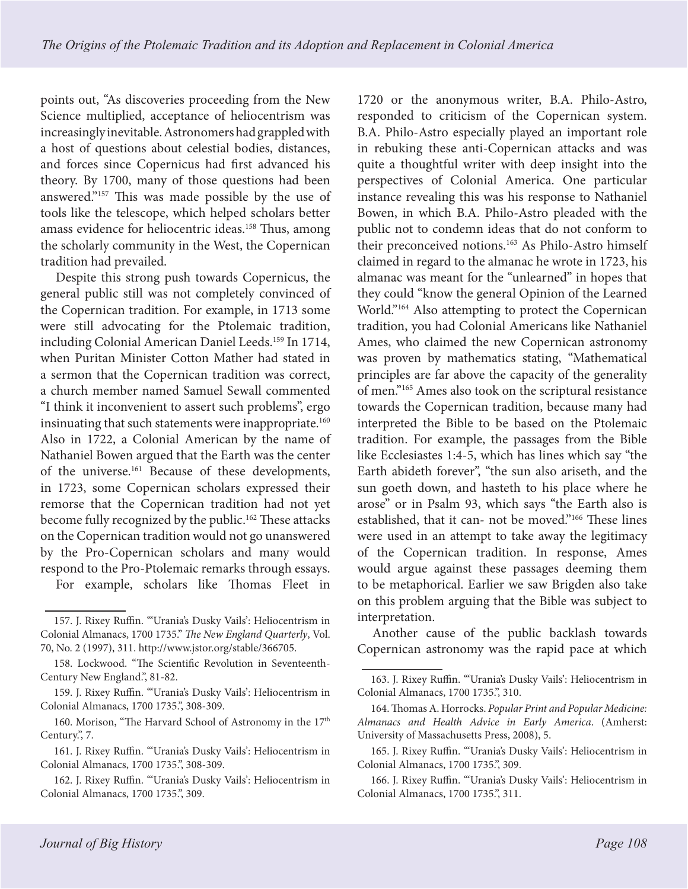points out, "As discoveries proceeding from the New Science multiplied, acceptance of heliocentrism was increasingly inevitable. Astronomers had grappled with a host of questions about celestial bodies, distances, and forces since Copernicus had first advanced his theory. By 1700, many of those questions had been answered."157 This was made possible by the use of tools like the telescope, which helped scholars better amass evidence for heliocentric ideas.<sup>158</sup> Thus, among the scholarly community in the West, the Copernican tradition had prevailed.

Despite this strong push towards Copernicus, the general public still was not completely convinced of the Copernican tradition. For example, in 1713 some were still advocating for the Ptolemaic tradition, including Colonial American Daniel Leeds.<sup>159</sup> In 1714, when Puritan Minister Cotton Mather had stated in a sermon that the Copernican tradition was correct, a church member named Samuel Sewall commented "I think it inconvenient to assert such problems", ergo insinuating that such statements were inappropriate.<sup>160</sup> Also in 1722, a Colonial American by the name of Nathaniel Bowen argued that the Earth was the center of the universe.161 Because of these developments, in 1723, some Copernican scholars expressed their remorse that the Copernican tradition had not yet become fully recognized by the public.<sup>162</sup> These attacks on the Copernican tradition would not go unanswered by the Pro-Copernican scholars and many would respond to the Pro-Ptolemaic remarks through essays. For example, scholars like Thomas Fleet in

157. J. Rixey Ruffin. "'Urania's Dusky Vails': Heliocentrism in

Colonial Almanacs, 1700 1735." *The New England Quarterly*, Vol. 70, No. 2 (1997), 311. http://www.jstor.org/stable/366705.

158. Lockwood. "The Scientific Revolution in Seventeenth-Century New England.", 81-82.

159. J. Rixey Ruffin. "'Urania's Dusky Vails': Heliocentrism in Colonial Almanacs, 1700 1735.", 308-309.

160. Morison, "The Harvard School of Astronomy in the 17<sup>th</sup> Century.", 7.

161. J. Rixey Ruffin. "'Urania's Dusky Vails': Heliocentrism in Colonial Almanacs, 1700 1735.", 308-309.

162. J. Rixey Ruffin. "'Urania's Dusky Vails': Heliocentrism in Colonial Almanacs, 1700 1735.", 309.

1720 or the anonymous writer, B.A. Philo-Astro, responded to criticism of the Copernican system. B.A. Philo-Astro especially played an important role in rebuking these anti-Copernican attacks and was quite a thoughtful writer with deep insight into the perspectives of Colonial America. One particular instance revealing this was his response to Nathaniel Bowen, in which B.A. Philo-Astro pleaded with the public not to condemn ideas that do not conform to their preconceived notions.<sup>163</sup> As Philo-Astro himself claimed in regard to the almanac he wrote in 1723, his almanac was meant for the "unlearned" in hopes that they could "know the general Opinion of the Learned World."164 Also attempting to protect the Copernican tradition, you had Colonial Americans like Nathaniel Ames, who claimed the new Copernican astronomy was proven by mathematics stating, "Mathematical principles are far above the capacity of the generality of men."165 Ames also took on the scriptural resistance towards the Copernican tradition, because many had interpreted the Bible to be based on the Ptolemaic tradition. For example, the passages from the Bible like Ecclesiastes 1:4-5, which has lines which say "the Earth abideth forever", "the sun also ariseth, and the sun goeth down, and hasteth to his place where he arose" or in Psalm 93, which says "the Earth also is established, that it can- not be moved."166 These lines were used in an attempt to take away the legitimacy of the Copernican tradition. In response, Ames would argue against these passages deeming them to be metaphorical. Earlier we saw Brigden also take on this problem arguing that the Bible was subject to interpretation.

Another cause of the public backlash towards Copernican astronomy was the rapid pace at which

166. J. Rixey Ruffin. "'Urania's Dusky Vails': Heliocentrism in Colonial Almanacs, 1700 1735.", 311.

<sup>163.</sup> J. Rixey Ruffin. "'Urania's Dusky Vails': Heliocentrism in Colonial Almanacs, 1700 1735.", 310.

<sup>164.</sup> Thomas A. Horrocks. *Popular Print and Popular Medicine: Almanacs and Health Advice in Early America*. (Amherst: University of Massachusetts Press, 2008), 5.

<sup>165.</sup> J. Rixey Ruffin. "'Urania's Dusky Vails': Heliocentrism in Colonial Almanacs, 1700 1735.", 309.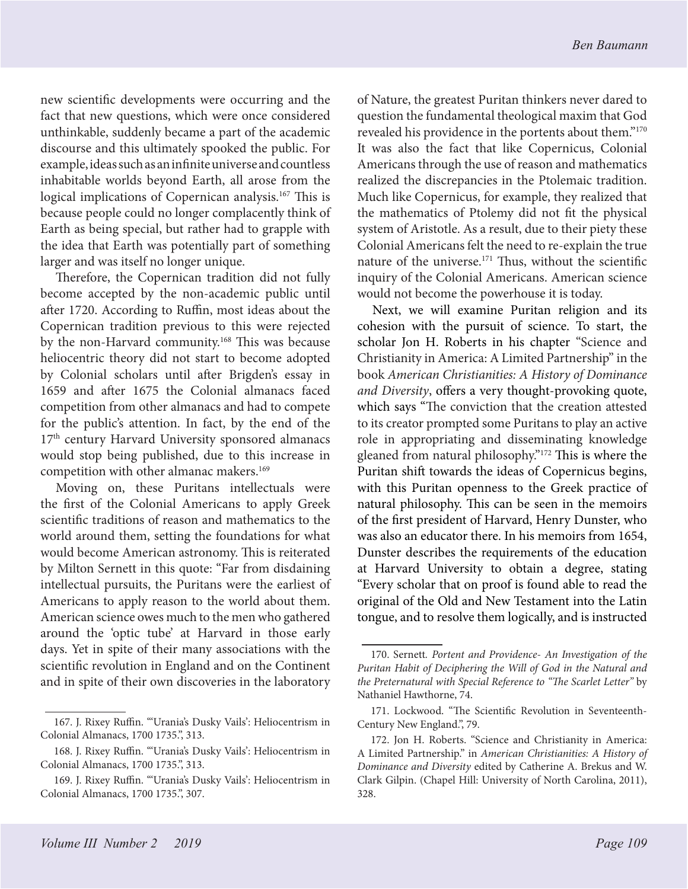new scientific developments were occurring and the fact that new questions, which were once considered unthinkable, suddenly became a part of the academic discourse and this ultimately spooked the public. For example, ideas such as an infinite universe and countless inhabitable worlds beyond Earth, all arose from the logical implications of Copernican analysis.<sup>167</sup> This is because people could no longer complacently think of Earth as being special, but rather had to grapple with the idea that Earth was potentially part of something larger and was itself no longer unique.

Therefore, the Copernican tradition did not fully become accepted by the non-academic public until after 1720. According to Ruffin, most ideas about the Copernican tradition previous to this were rejected by the non-Harvard community.168 This was because heliocentric theory did not start to become adopted by Colonial scholars until after Brigden's essay in 1659 and after 1675 the Colonial almanacs faced competition from other almanacs and had to compete for the public's attention. In fact, by the end of the 17<sup>th</sup> century Harvard University sponsored almanacs would stop being published, due to this increase in competition with other almanac makers.<sup>169</sup>

Moving on, these Puritans intellectuals were the first of the Colonial Americans to apply Greek scientific traditions of reason and mathematics to the world around them, setting the foundations for what would become American astronomy. This is reiterated by Milton Sernett in this quote: "Far from disdaining intellectual pursuits, the Puritans were the earliest of Americans to apply reason to the world about them. American science owes much to the men who gathered around the 'optic tube' at Harvard in those early days. Yet in spite of their many associations with the scientific revolution in England and on the Continent and in spite of their own discoveries in the laboratory of Nature, the greatest Puritan thinkers never dared to question the fundamental theological maxim that God revealed his providence in the portents about them."170 It was also the fact that like Copernicus, Colonial Americans through the use of reason and mathematics realized the discrepancies in the Ptolemaic tradition. Much like Copernicus, for example, they realized that the mathematics of Ptolemy did not fit the physical system of Aristotle. As a result, due to their piety these Colonial Americans felt the need to re-explain the true nature of the universe.171 Thus, without the scientific inquiry of the Colonial Americans. American science would not become the powerhouse it is today.

Next, we will examine Puritan religion and its cohesion with the pursuit of science. To start, the scholar Jon H. Roberts in his chapter "Science and Christianity in America: A Limited Partnership" in the book *American Christianities: A History of Dominance and Diversity*, offers a very thought-provoking quote, which says "The conviction that the creation attested to its creator prompted some Puritans to play an active role in appropriating and disseminating knowledge gleaned from natural philosophy."172 This is where the Puritan shift towards the ideas of Copernicus begins, with this Puritan openness to the Greek practice of natural philosophy. This can be seen in the memoirs of the first president of Harvard, Henry Dunster, who was also an educator there. In his memoirs from 1654, Dunster describes the requirements of the education at Harvard University to obtain a degree, stating "Every scholar that on proof is found able to read the original of the Old and New Testament into the Latin tongue, and to resolve them logically, and is instructed

<sup>167.</sup> J. Rixey Ruffin. "'Urania's Dusky Vails': Heliocentrism in Colonial Almanacs, 1700 1735.", 313.

<sup>168.</sup> J. Rixey Ruffin. "'Urania's Dusky Vails': Heliocentrism in Colonial Almanacs, 1700 1735.", 313.

<sup>169.</sup> J. Rixey Ruffin. "'Urania's Dusky Vails': Heliocentrism in Colonial Almanacs, 1700 1735.", 307.

<sup>170.</sup> Sernett*. Portent and Providence- An Investigation of the Puritan Habit of Deciphering the Will of God in the Natural and the Preternatural with Special Reference to "The Scarlet Letter"* by Nathaniel Hawthorne, 74.

<sup>171.</sup> Lockwood. "The Scientific Revolution in Seventeenth-Century New England.", 79.

<sup>172.</sup> Jon H. Roberts. "Science and Christianity in America: A Limited Partnership." in *American Christianities: A History of Dominance and Diversity* edited by Catherine A. Brekus and W. Clark Gilpin. (Chapel Hill: University of North Carolina, 2011), 328.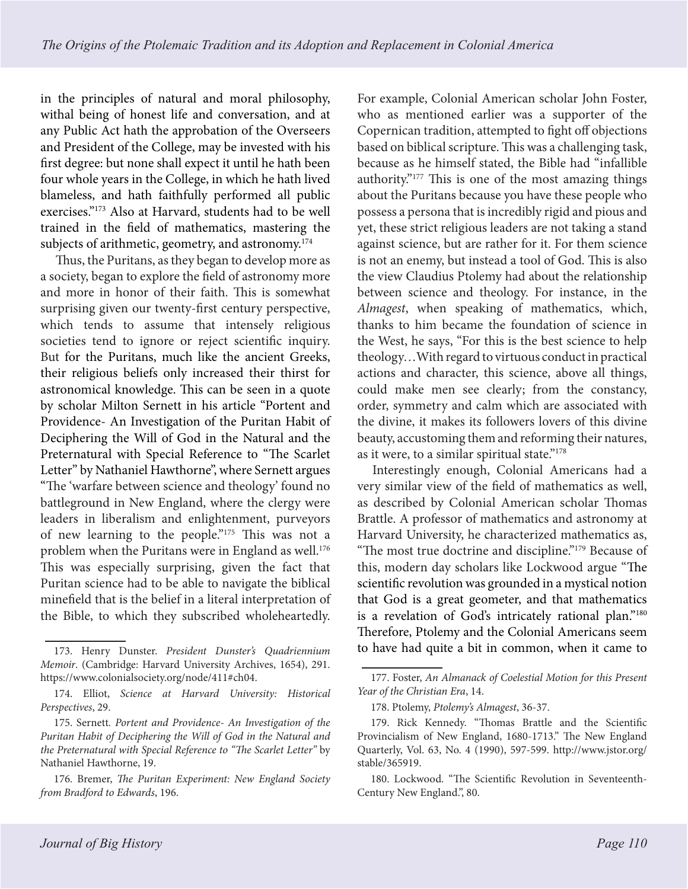in the principles of natural and moral philosophy, withal being of honest life and conversation, and at any Public Act hath the approbation of the Overseers and President of the College, may be invested with his first degree: but none shall expect it until he hath been four whole years in the College, in which he hath lived blameless, and hath faithfully performed all public exercises."173 Also at Harvard, students had to be well trained in the field of mathematics, mastering the subjects of arithmetic, geometry, and astronomy.<sup>174</sup>

Thus, the Puritans, as they began to develop more as a society, began to explore the field of astronomy more and more in honor of their faith. This is somewhat surprising given our twenty-first century perspective, which tends to assume that intensely religious societies tend to ignore or reject scientific inquiry. But for the Puritans, much like the ancient Greeks, their religious beliefs only increased their thirst for astronomical knowledge. This can be seen in a quote by scholar Milton Sernett in his article "Portent and Providence- An Investigation of the Puritan Habit of Deciphering the Will of God in the Natural and the Preternatural with Special Reference to "The Scarlet Letter" by Nathaniel Hawthorne", where Sernett argues "The 'warfare between science and theology' found no battleground in New England, where the clergy were leaders in liberalism and enlightenment, purveyors of new learning to the people."175 This was not a problem when the Puritans were in England as well.<sup>176</sup> This was especially surprising, given the fact that Puritan science had to be able to navigate the biblical minefield that is the belief in a literal interpretation of the Bible, to which they subscribed wholeheartedly.

For example, Colonial American scholar John Foster, who as mentioned earlier was a supporter of the Copernican tradition, attempted to fight off objections based on biblical scripture. This was a challenging task, because as he himself stated, the Bible had "infallible authority."177 This is one of the most amazing things about the Puritans because you have these people who possess a persona that is incredibly rigid and pious and yet, these strict religious leaders are not taking a stand against science, but are rather for it. For them science is not an enemy, but instead a tool of God. This is also the view Claudius Ptolemy had about the relationship between science and theology. For instance, in the *Almagest*, when speaking of mathematics, which, thanks to him became the foundation of science in the West, he says, "For this is the best science to help theology…With regard to virtuous conduct in practical actions and character, this science, above all things, could make men see clearly; from the constancy, order, symmetry and calm which are associated with the divine, it makes its followers lovers of this divine beauty, accustoming them and reforming their natures, as it were, to a similar spiritual state."178

Interestingly enough, Colonial Americans had a very similar view of the field of mathematics as well, as described by Colonial American scholar Thomas Brattle. A professor of mathematics and astronomy at Harvard University, he characterized mathematics as, "The most true doctrine and discipline."179 Because of this, modern day scholars like Lockwood argue "The scientific revolution was grounded in a mystical notion that God is a great geometer, and that mathematics is a revelation of God's intricately rational plan."<sup>180</sup> Therefore, Ptolemy and the Colonial Americans seem to have had quite a bit in common, when it came to

<sup>173.</sup> Henry Dunster. *President Dunster's Quadriennium Memoir*. (Cambridge: Harvard University Archives, 1654), 291. https://www.colonialsociety.org/node/411#ch04.

<sup>174.</sup> Elliot, *Science at Harvard University: Historical Perspectives*, 29.

<sup>175.</sup> Sernett*. Portent and Providence- An Investigation of the Puritan Habit of Deciphering the Will of God in the Natural and the Preternatural with Special Reference to "The Scarlet Letter"* by Nathaniel Hawthorne, 19.

<sup>176.</sup> Bremer, *The Puritan Experiment: New England Society from Bradford to Edwards*, 196.

<sup>177.</sup> Foster, *An Almanack of Coelestial Motion for this Present Year of the Christian Era*, 14.

<sup>178.</sup> Ptolemy, *Ptolemy's Almagest*, 36-37.

<sup>179.</sup> Rick Kennedy. "Thomas Brattle and the Scientific Provincialism of New England, 1680-1713." The New England Quarterly, Vol. 63, No. 4 (1990), 597-599. http://www.jstor.org/ stable/365919.

<sup>180.</sup> Lockwood. "The Scientific Revolution in Seventeenth-Century New England.", 80.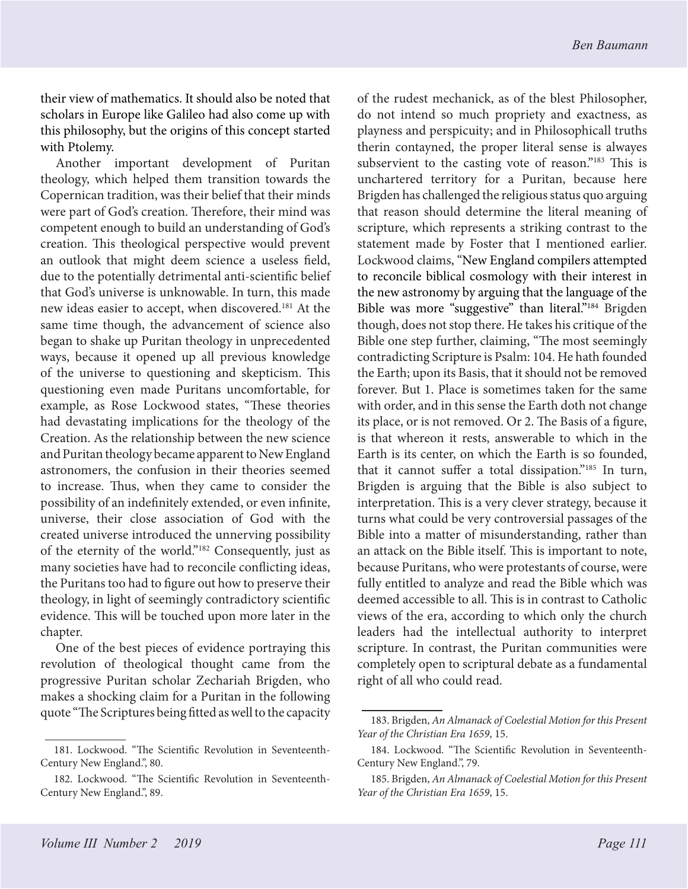their view of mathematics. It should also be noted that scholars in Europe like Galileo had also come up with this philosophy, but the origins of this concept started with Ptolemy.

Another important development of Puritan theology, which helped them transition towards the Copernican tradition, was their belief that their minds were part of God's creation. Therefore, their mind was competent enough to build an understanding of God's creation. This theological perspective would prevent an outlook that might deem science a useless field, due to the potentially detrimental anti-scientific belief that God's universe is unknowable. In turn, this made new ideas easier to accept, when discovered.181 At the same time though, the advancement of science also began to shake up Puritan theology in unprecedented ways, because it opened up all previous knowledge of the universe to questioning and skepticism. This questioning even made Puritans uncomfortable, for example, as Rose Lockwood states, "These theories had devastating implications for the theology of the Creation. As the relationship between the new science and Puritan theology became apparent to New England astronomers, the confusion in their theories seemed to increase. Thus, when they came to consider the possibility of an indefinitely extended, or even infinite, universe, their close association of God with the created universe introduced the unnerving possibility of the eternity of the world."182 Consequently, just as many societies have had to reconcile conflicting ideas, the Puritans too had to figure out how to preserve their theology, in light of seemingly contradictory scientific evidence. This will be touched upon more later in the chapter.

One of the best pieces of evidence portraying this revolution of theological thought came from the progressive Puritan scholar Zechariah Brigden, who makes a shocking claim for a Puritan in the following quote "The Scriptures being fitted as well to the capacity

of the rudest mechanick, as of the blest Philosopher, do not intend so much propriety and exactness, as playness and perspicuity; and in Philosophicall truths therin contayned, the proper literal sense is alwayes subservient to the casting vote of reason."<sup>183</sup> This is unchartered territory for a Puritan, because here Brigden has challenged the religious status quo arguing that reason should determine the literal meaning of scripture, which represents a striking contrast to the statement made by Foster that I mentioned earlier. Lockwood claims, "New England compilers attempted to reconcile biblical cosmology with their interest in the new astronomy by arguing that the language of the Bible was more "suggestive" than literal."<sup>184</sup> Brigden though, does not stop there. He takes his critique of the Bible one step further, claiming, "The most seemingly contradicting Scripture is Psalm: 104. He hath founded the Earth; upon its Basis, that it should not be removed forever. But 1. Place is sometimes taken for the same with order, and in this sense the Earth doth not change its place, or is not removed. Or 2. The Basis of a figure, is that whereon it rests, answerable to which in the Earth is its center, on which the Earth is so founded, that it cannot suffer a total dissipation."185 In turn, Brigden is arguing that the Bible is also subject to interpretation. This is a very clever strategy, because it turns what could be very controversial passages of the Bible into a matter of misunderstanding, rather than an attack on the Bible itself. This is important to note, because Puritans, who were protestants of course, were fully entitled to analyze and read the Bible which was deemed accessible to all. This is in contrast to Catholic views of the era, according to which only the church leaders had the intellectual authority to interpret scripture. In contrast, the Puritan communities were completely open to scriptural debate as a fundamental right of all who could read.

<sup>181.</sup> Lockwood. "The Scientific Revolution in Seventeenth-Century New England.", 80.

<sup>182.</sup> Lockwood. "The Scientific Revolution in Seventeenth-Century New England.", 89.

<sup>183.</sup> Brigden, *An Almanack of Coelestial Motion for this Present Year of the Christian Era 1659*, 15.

<sup>184.</sup> Lockwood. "The Scientific Revolution in Seventeenth-Century New England.", 79.

<sup>185.</sup> Brigden, *An Almanack of Coelestial Motion for this Present Year of the Christian Era 1659*, 15.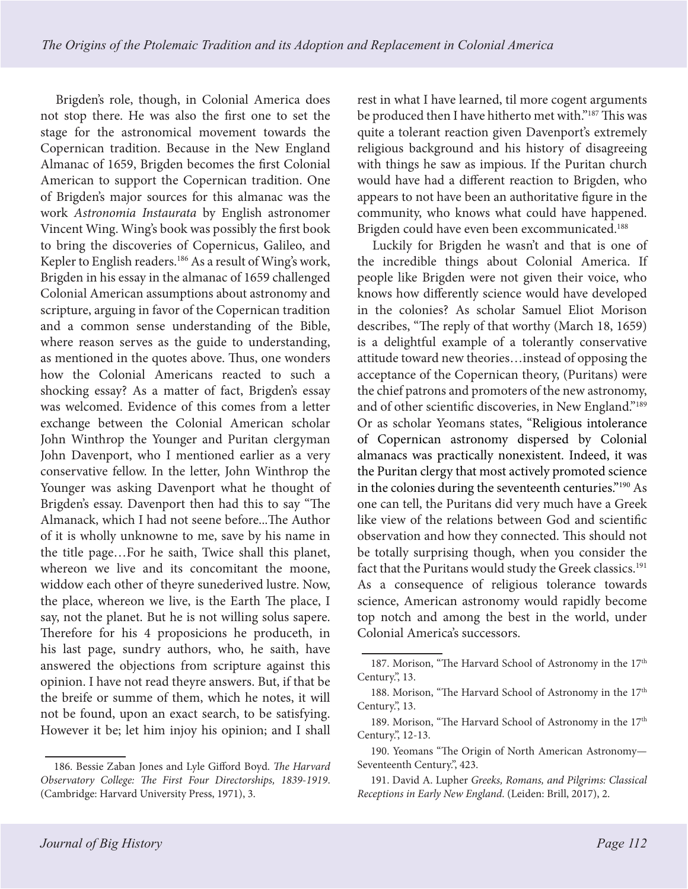Brigden's role, though, in Colonial America does not stop there. He was also the first one to set the stage for the astronomical movement towards the Copernican tradition. Because in the New England Almanac of 1659, Brigden becomes the first Colonial American to support the Copernican tradition. One of Brigden's major sources for this almanac was the work *Astronomia Instaurata* by English astronomer Vincent Wing. Wing's book was possibly the first book to bring the discoveries of Copernicus, Galileo, and Kepler to English readers.186 As a result of Wing's work, Brigden in his essay in the almanac of 1659 challenged Colonial American assumptions about astronomy and scripture, arguing in favor of the Copernican tradition and a common sense understanding of the Bible, where reason serves as the guide to understanding, as mentioned in the quotes above. Thus, one wonders how the Colonial Americans reacted to such a shocking essay? As a matter of fact, Brigden's essay was welcomed. Evidence of this comes from a letter exchange between the Colonial American scholar John Winthrop the Younger and Puritan clergyman John Davenport, who I mentioned earlier as a very conservative fellow. In the letter, John Winthrop the Younger was asking Davenport what he thought of Brigden's essay. Davenport then had this to say "The Almanack, which I had not seene before...The Author of it is wholly unknowne to me, save by his name in the title page…For he saith, Twice shall this planet, whereon we live and its concomitant the moone, widdow each other of theyre sunederived lustre. Now, the place, whereon we live, is the Earth The place, I say, not the planet. But he is not willing solus sapere. Therefore for his 4 proposicions he produceth, in his last page, sundry authors, who, he saith, have answered the objections from scripture against this opinion. I have not read theyre answers. But, if that be the breife or summe of them, which he notes, it will not be found, upon an exact search, to be satisfying. However it be; let him injoy his opinion; and I shall

186. Bessie Zaban Jones and Lyle Gifford Boyd. *The Harvard Observatory College: The First Four Directorships, 1839-1919*. (Cambridge: Harvard University Press, 1971), 3.

rest in what I have learned, til more cogent arguments be produced then I have hitherto met with."187 This was quite a tolerant reaction given Davenport's extremely religious background and his history of disagreeing with things he saw as impious. If the Puritan church would have had a different reaction to Brigden, who appears to not have been an authoritative figure in the community, who knows what could have happened. Brigden could have even been excommunicated.188

Luckily for Brigden he wasn't and that is one of the incredible things about Colonial America. If people like Brigden were not given their voice, who knows how differently science would have developed in the colonies? As scholar Samuel Eliot Morison describes, "The reply of that worthy (March 18, 1659) is a delightful example of a tolerantly conservative attitude toward new theories…instead of opposing the acceptance of the Copernican theory, (Puritans) were the chief patrons and promoters of the new astronomy, and of other scientific discoveries, in New England."189 Or as scholar Yeomans states, "Religious intolerance of Copernican astronomy dispersed by Colonial almanacs was practically nonexistent. Indeed, it was the Puritan clergy that most actively promoted science in the colonies during the seventeenth centuries."190 As one can tell, the Puritans did very much have a Greek like view of the relations between God and scientific observation and how they connected. This should not be totally surprising though, when you consider the fact that the Puritans would study the Greek classics.<sup>191</sup> As a consequence of religious tolerance towards science, American astronomy would rapidly become top notch and among the best in the world, under Colonial America's successors.

<sup>187.</sup> Morison, "The Harvard School of Astronomy in the 17<sup>th</sup> Century.", 13.

<sup>188.</sup> Morison, "The Harvard School of Astronomy in the 17<sup>th</sup> Century.", 13.

<sup>189.</sup> Morison, "The Harvard School of Astronomy in the 17<sup>th</sup> Century.", 12-13.

<sup>190.</sup> Yeomans "The Origin of North American Astronomy— Seventeenth Century.", 423.

<sup>191.</sup> David A. Lupher *Greeks, Romans, and Pilgrims: Classical Receptions in Early New England*. (Leiden: Brill, 2017), 2.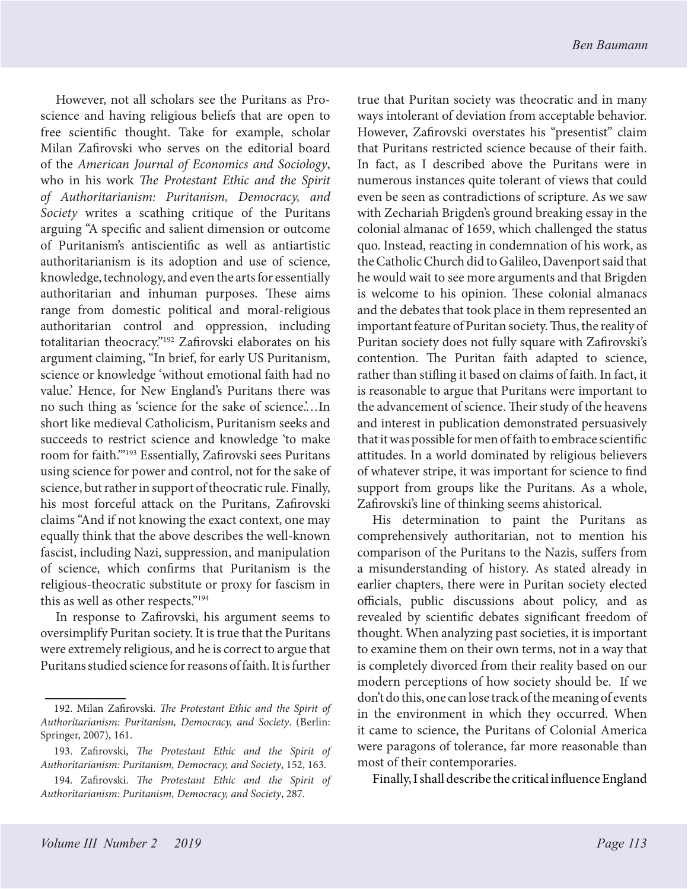However, not all scholars see the Puritans as Proscience and having religious beliefs that are open to free scientific thought. Take for example, scholar Milan Zafirovski who serves on the editorial board of the *American Journal of Economics and Sociology*, who in his work *The Protestant Ethic and the Spirit of Authoritarianism: Puritanism, Democracy, and Society* writes a scathing critique of the Puritans arguing "A specific and salient dimension or outcome of Puritanism's antiscientific as well as antiartistic authoritarianism is its adoption and use of science, knowledge, technology, and even the arts for essentially authoritarian and inhuman purposes. These aims range from domestic political and moral-religious authoritarian control and oppression, including totalitarian theocracy."192 Zafirovski elaborates on his argument claiming, "In brief, for early US Puritanism, science or knowledge 'without emotional faith had no value.' Hence, for New England's Puritans there was no such thing as 'science for the sake of science.'…In short like medieval Catholicism, Puritanism seeks and succeeds to restrict science and knowledge 'to make room for faith.'"193 Essentially, Zafirovski sees Puritans using science for power and control, not for the sake of science, but rather in support of theocratic rule. Finally, his most forceful attack on the Puritans, Zafirovski claims "And if not knowing the exact context, one may equally think that the above describes the well-known fascist, including Nazi, suppression, and manipulation of science, which confirms that Puritanism is the religious-theocratic substitute or proxy for fascism in this as well as other respects."194

In response to Zafirovski, his argument seems to oversimplify Puritan society. It is true that the Puritans were extremely religious, and he is correct to argue that Puritans studied science for reasons of faith. It is further

true that Puritan society was theocratic and in many ways intolerant of deviation from acceptable behavior. However, Zafirovski overstates his "presentist" claim that Puritans restricted science because of their faith. In fact, as I described above the Puritans were in numerous instances quite tolerant of views that could even be seen as contradictions of scripture. As we saw with Zechariah Brigden's ground breaking essay in the colonial almanac of 1659, which challenged the status quo. Instead, reacting in condemnation of his work, as the Catholic Church did to Galileo, Davenport said that he would wait to see more arguments and that Brigden is welcome to his opinion. These colonial almanacs and the debates that took place in them represented an important feature of Puritan society. Thus, the reality of Puritan society does not fully square with Zafirovski's contention. The Puritan faith adapted to science, rather than stifling it based on claims of faith. In fact, it is reasonable to argue that Puritans were important to the advancement of science. Their study of the heavens and interest in publication demonstrated persuasively that it was possible for men of faith to embrace scientific attitudes. In a world dominated by religious believers of whatever stripe, it was important for science to find support from groups like the Puritans. As a whole, Zafirovski's line of thinking seems ahistorical.

His determination to paint the Puritans as comprehensively authoritarian, not to mention his comparison of the Puritans to the Nazis, suffers from a misunderstanding of history. As stated already in earlier chapters, there were in Puritan society elected officials, public discussions about policy, and as revealed by scientific debates significant freedom of thought. When analyzing past societies, it is important to examine them on their own terms, not in a way that is completely divorced from their reality based on our modern perceptions of how society should be. If we don't do this, one can lose track of the meaning of events in the environment in which they occurred. When it came to science, the Puritans of Colonial America were paragons of tolerance, far more reasonable than most of their contemporaries.

Finally, I shall describe the critical influence England

<sup>192.</sup> Milan Zafirovski. *The Protestant Ethic and the Spirit of Authoritarianism: Puritanism, Democracy, and Society*. (Berlin: Springer, 2007), 161.

<sup>193.</sup> Zafirovski, *The Protestant Ethic and the Spirit of Authoritarianism: Puritanism, Democracy, and Society*, 152, 163.

<sup>194.</sup> Zafirovski. *The Protestant Ethic and the Spirit of Authoritarianism: Puritanism, Democracy, and Society*, 287.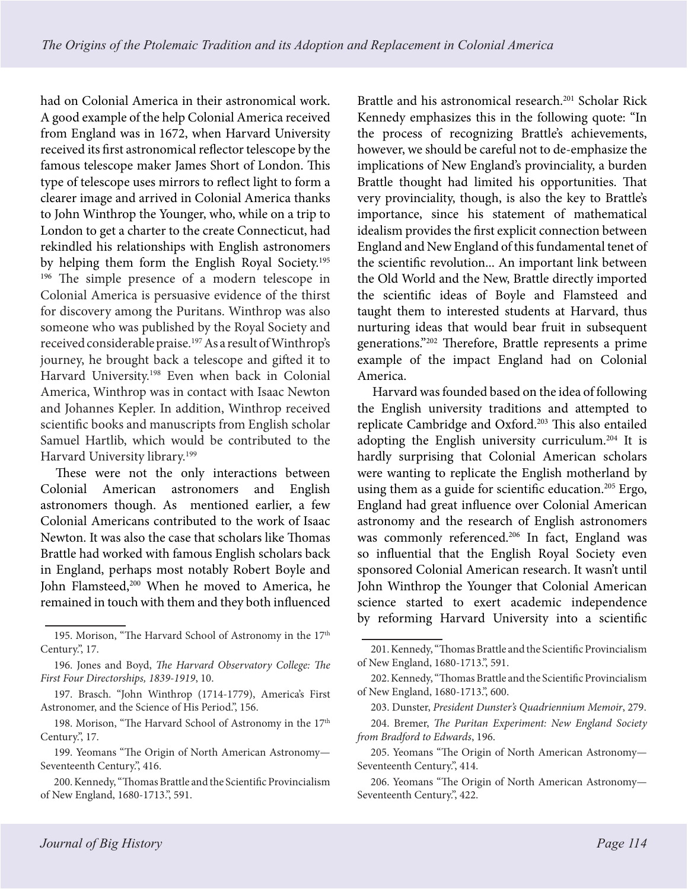had on Colonial America in their astronomical work. A good example of the help Colonial America received from England was in 1672, when Harvard University received its first astronomical reflector telescope by the famous telescope maker James Short of London. This type of telescope uses mirrors to reflect light to form a clearer image and arrived in Colonial America thanks to John Winthrop the Younger, who, while on a trip to London to get a charter to the create Connecticut, had rekindled his relationships with English astronomers by helping them form the English Royal Society.195 <sup>196</sup> The simple presence of a modern telescope in Colonial America is persuasive evidence of the thirst for discovery among the Puritans. Winthrop was also someone who was published by the Royal Society and received considerable praise.197 As a result of Winthrop's journey, he brought back a telescope and gifted it to Harvard University.<sup>198</sup> Even when back in Colonial America, Winthrop was in contact with Isaac Newton and Johannes Kepler. In addition, Winthrop received scientific books and manuscripts from English scholar Samuel Hartlib, which would be contributed to the Harvard University library.<sup>199</sup>

These were not the only interactions between Colonial American astronomers and English astronomers though. As mentioned earlier, a few Colonial Americans contributed to the work of Isaac Newton. It was also the case that scholars like Thomas Brattle had worked with famous English scholars back in England, perhaps most notably Robert Boyle and John Flamsteed,<sup>200</sup> When he moved to America, he remained in touch with them and they both influenced

Brattle and his astronomical research.<sup>201</sup> Scholar Rick Kennedy emphasizes this in the following quote: "In the process of recognizing Brattle's achievements, however, we should be careful not to de-emphasize the implications of New England's provinciality, a burden Brattle thought had limited his opportunities. That very provinciality, though, is also the key to Brattle's importance, since his statement of mathematical idealism provides the first explicit connection between England and New England of this fundamental tenet of the scientific revolution... An important link between the Old World and the New, Brattle directly imported the scientific ideas of Boyle and Flamsteed and taught them to interested students at Harvard, thus nurturing ideas that would bear fruit in subsequent generations."202 Therefore, Brattle represents a prime example of the impact England had on Colonial America.

Harvard was founded based on the idea of following the English university traditions and attempted to replicate Cambridge and Oxford.203 This also entailed adopting the English university curriculum.204 It is hardly surprising that Colonial American scholars were wanting to replicate the English motherland by using them as a guide for scientific education.<sup>205</sup> Ergo, England had great influence over Colonial American astronomy and the research of English astronomers was commonly referenced.<sup>206</sup> In fact, England was so influential that the English Royal Society even sponsored Colonial American research. It wasn't until John Winthrop the Younger that Colonial American science started to exert academic independence by reforming Harvard University into a scientific

<sup>195.</sup> Morison, "The Harvard School of Astronomy in the 17<sup>th</sup> Century.", 17.

<sup>196.</sup> Jones and Boyd, *The Harvard Observatory College: The First Four Directorships, 1839-1919*, 10.

<sup>197.</sup> Brasch. "John Winthrop (1714-1779), America's First Astronomer, and the Science of His Period.", 156.

<sup>198.</sup> Morison, "The Harvard School of Astronomy in the 17<sup>th</sup> Century.", 17.

<sup>199.</sup> Yeomans "The Origin of North American Astronomy— Seventeenth Century.", 416.

<sup>200.</sup> Kennedy, "Thomas Brattle and the Scientific Provincialism of New England, 1680-1713.", 591.

<sup>201.</sup> Kennedy, "Thomas Brattle and the Scientific Provincialism of New England, 1680-1713.", 591.

<sup>202.</sup> Kennedy, "Thomas Brattle and the Scientific Provincialism of New England, 1680-1713.", 600.

<sup>203.</sup> Dunster, *President Dunster's Quadriennium Memoir*, 279.

<sup>204.</sup> Bremer, *The Puritan Experiment: New England Society from Bradford to Edwards*, 196.

<sup>205.</sup> Yeomans "The Origin of North American Astronomy— Seventeenth Century.", 414.

<sup>206.</sup> Yeomans "The Origin of North American Astronomy— Seventeenth Century.", 422.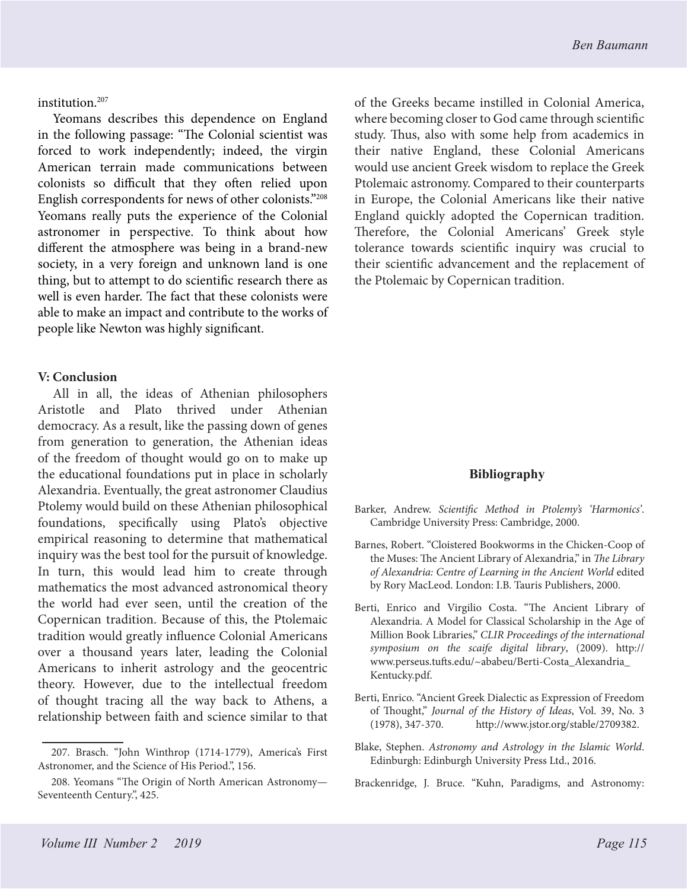institution.207

Yeomans describes this dependence on England in the following passage: "The Colonial scientist was forced to work independently; indeed, the virgin American terrain made communications between colonists so difficult that they often relied upon English correspondents for news of other colonists."208 Yeomans really puts the experience of the Colonial astronomer in perspective. To think about how different the atmosphere was being in a brand-new society, in a very foreign and unknown land is one thing, but to attempt to do scientific research there as well is even harder. The fact that these colonists were able to make an impact and contribute to the works of people like Newton was highly significant.

#### **V: Conclusion**

All in all, the ideas of Athenian philosophers Aristotle and Plato thrived under Athenian democracy. As a result, like the passing down of genes from generation to generation, the Athenian ideas of the freedom of thought would go on to make up the educational foundations put in place in scholarly Alexandria. Eventually, the great astronomer Claudius Ptolemy would build on these Athenian philosophical foundations, specifically using Plato's objective empirical reasoning to determine that mathematical inquiry was the best tool for the pursuit of knowledge. In turn, this would lead him to create through mathematics the most advanced astronomical theory the world had ever seen, until the creation of the Copernican tradition. Because of this, the Ptolemaic tradition would greatly influence Colonial Americans over a thousand years later, leading the Colonial Americans to inherit astrology and the geocentric theory. However, due to the intellectual freedom of thought tracing all the way back to Athens, a relationship between faith and science similar to that

of the Greeks became instilled in Colonial America, where becoming closer to God came through scientific study. Thus, also with some help from academics in their native England, these Colonial Americans would use ancient Greek wisdom to replace the Greek Ptolemaic astronomy. Compared to their counterparts in Europe, the Colonial Americans like their native England quickly adopted the Copernican tradition. Therefore, the Colonial Americans' Greek style tolerance towards scientific inquiry was crucial to their scientific advancement and the replacement of the Ptolemaic by Copernican tradition.

## **Bibliography**

- Barker, Andrew. *Scientific Method in Ptolemy's 'Harmonics'*. Cambridge University Press: Cambridge, 2000.
- Barnes, Robert. "Cloistered Bookworms in the Chicken-Coop of the Muses: The Ancient Library of Alexandria," in *The Library of Alexandria: Centre of Learning in the Ancient World* edited by Rory MacLeod. London: I.B. Tauris Publishers, 2000.
- Berti, Enrico and Virgilio Costa. "The Ancient Library of Alexandria. A Model for Classical Scholarship in the Age of Million Book Libraries," *CLIR Proceedings of the international symposium on the scaife digital library*, (2009). http:// www.perseus.tufts.edu/~ababeu/Berti-Costa\_Alexandria\_ Kentucky.pdf.
- Berti, Enrico. "Ancient Greek Dialectic as Expression of Freedom of Thought," *Journal of the History of Ideas*, Vol. 39, No. 3 (1978), 347-370. http://www.jstor.org/stable/2709382.
- Blake, Stephen. *Astronomy and Astrology in the Islamic World*. Edinburgh: Edinburgh University Press Ltd., 2016.
- Brackenridge, J. Bruce. "Kuhn, Paradigms, and Astronomy:

<sup>207.</sup> Brasch. "John Winthrop (1714-1779), America's First Astronomer, and the Science of His Period.", 156.

<sup>208.</sup> Yeomans "The Origin of North American Astronomy— Seventeenth Century.", 425.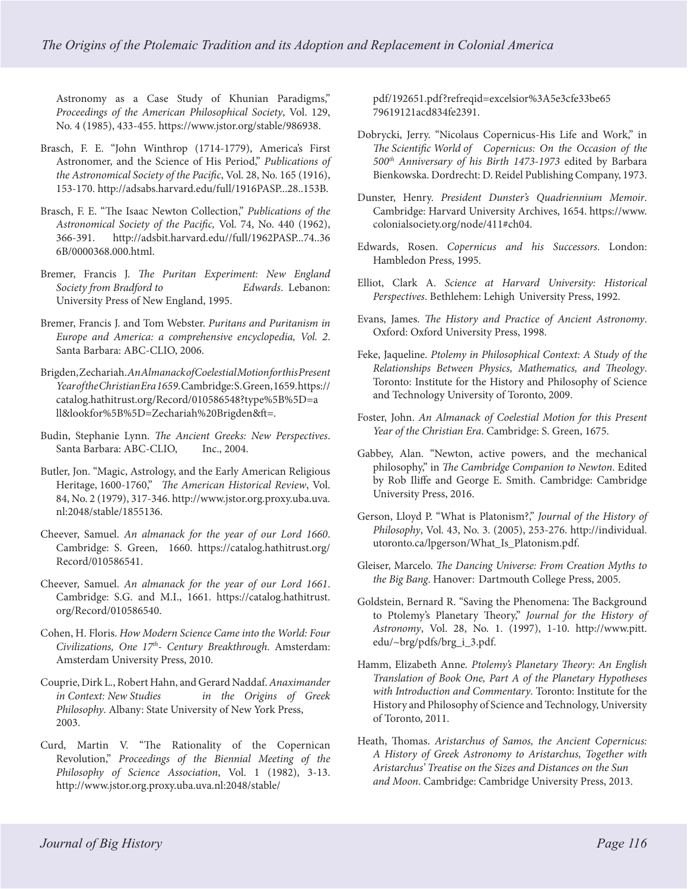Astronomy as a Case Study of Khunian Paradigms," *Proceedings of the American Philosophical Society*, Vol. 129, No. 4 (1985), 433-455. https://www.jstor.org/stable/986938.

- Brasch, F. E. "John Winthrop (1714-1779), America's First Astronomer, and the Science of His Period," *Publications of the Astronomical Society of the Pacific*, Vol. 28, No. 165 (1916), 153-170. http://adsabs.harvard.edu/full/1916PASP...28..153B.
- Brasch, F. E. "The Isaac Newton Collection," *Publications of the Astronomical Society of the Pacific,* Vol. 74, No. 440 (1962), 366-391. http://adsbit.harvard.edu//full/1962PASP...74..36 6B/0000368.000.html.
- Bremer, Francis J. *The Puritan Experiment: New England Society from Bradford to Edwards*. Lebanon: University Press of New England, 1995.
- Bremer, Francis J. and Tom Webster. *Puritans and Puritanism in Europe and America: a comprehensive encyclopedia, Vol. 2*. Santa Barbara: ABC-CLIO, 2006.
- Brigden, Zechariah. *An Almanack of Coelestial Motion for this Present Year of the Christian Era 1659*. Cambridge: S. Green, 1659. https:// catalog.hathitrust.org/Record/010586548?type%5B%5D=a ll&lookfor%5B%5D=Zechariah%20Brigden&ft=.
- Budin, Stephanie Lynn. *The Ancient Greeks: New Perspectives*. Santa Barbara: ABC-CLIO, Inc., 2004.
- Butler, Jon. "Magic, Astrology, and the Early American Religious Heritage, 1600-1760," *The American Historical Review*, Vol. 84, No. 2 (1979), 317-346. http://www.jstor.org.proxy.uba.uva. nl:2048/stable/1855136.
- Cheever, Samuel. *An almanack for the year of our Lord 1660*. Cambridge: S. Green, 1660. https://catalog.hathitrust.org/ Record/010586541.
- Cheever, Samuel. *An almanack for the year of our Lord 1661*. Cambridge: S.G. and M.I., 1661. https://catalog.hathitrust. org/Record/010586540.
- Cohen, H. Floris. *How Modern Science Came into the World: Four Civilizations, One 17th- Century Breakthrough*. Amsterdam: Amsterdam University Press, 2010.
- Couprie, Dirk L., Robert Hahn, and Gerard Naddaf. *Anaximander in Context: New Studies in the Origins of Greek Philosophy*. Albany: State University of New York Press, 2003.
- Curd, Martin V. "The Rationality of the Copernican Revolution," *Proceedings of the Biennial Meeting of the Philosophy of Science Association*, Vol. 1 (1982), 3-13. http://www.jstor.org.proxy.uba.uva.nl:2048/stable/

pdf/192651.pdf?refreqid=excelsior%3A5e3cfe33be65 79619121acd834fe2391.

- Dobrycki, Jerry. "Nicolaus Copernicus-His Life and Work," in *The Scientific World of Copernicus: On the Occasion of the 500th Anniversary of his Birth 1473-1973* edited by Barbara Bienkowska. Dordrecht: D. Reidel Publishing Company, 1973.
- Dunster, Henry. *President Dunster's Quadriennium Memoir*. Cambridge: Harvard University Archives, 1654. https://www. colonialsociety.org/node/411#ch04.
- Edwards, Rosen. *Copernicus and his Successors*. London: Hambledon Press, 1995.
- Elliot, Clark A. *Science at Harvard University: Historical Perspectives*. Bethlehem: Lehigh University Press, 1992.
- Evans, James. *The History and Practice of Ancient Astronomy*. Oxford: Oxford University Press, 1998.
- Feke, Jaqueline. *Ptolemy in Philosophical Context: A Study of the Relationships Between Physics, Mathematics, and Theology*. Toronto: Institute for the History and Philosophy of Science and Technology University of Toronto, 2009.
- Foster, John. *An Almanack of Coelestial Motion for this Present Year of the Christian Era*. Cambridge: S. Green, 1675.
- Gabbey, Alan. "Newton, active powers, and the mechanical philosophy," in *The Cambridge Companion to Newton*. Edited by Rob Iliffe and George E. Smith. Cambridge: Cambridge University Press, 2016.
- Gerson, Lloyd P. "What is Platonism?," *Journal of the History of Philosophy*, Vol. 43, No. 3. (2005), 253-276. http://individual. utoronto.ca/lpgerson/What\_Is\_Platonism.pdf.
- Gleiser, Marcelo. *The Dancing Universe: From Creation Myths to the Big Bang*. Hanover: Dartmouth College Press, 2005.
- Goldstein, Bernard R. "Saving the Phenomena: The Background to Ptolemy's Planetary Theory," *Journal for the History of Astronomy*, Vol. 28, No. 1. (1997), 1-10. http://www.pitt. edu/~brg/pdfs/brg\_i\_3.pdf.
- Hamm, Elizabeth Anne*. Ptolemy's Planetary Theory: An English Translation of Book One, Part A of the Planetary Hypotheses with Introduction and Commentary*. Toronto: Institute for the History and Philosophy of Science and Technology, University of Toronto, 2011.
- Heath, Thomas. *Aristarchus of Samos, the Ancient Copernicus: A History of Greek Astronomy to Aristarchus, Together with Aristarchus' Treatise on the Sizes and Distances on the Sun and Moon*. Cambridge: Cambridge University Press, 2013.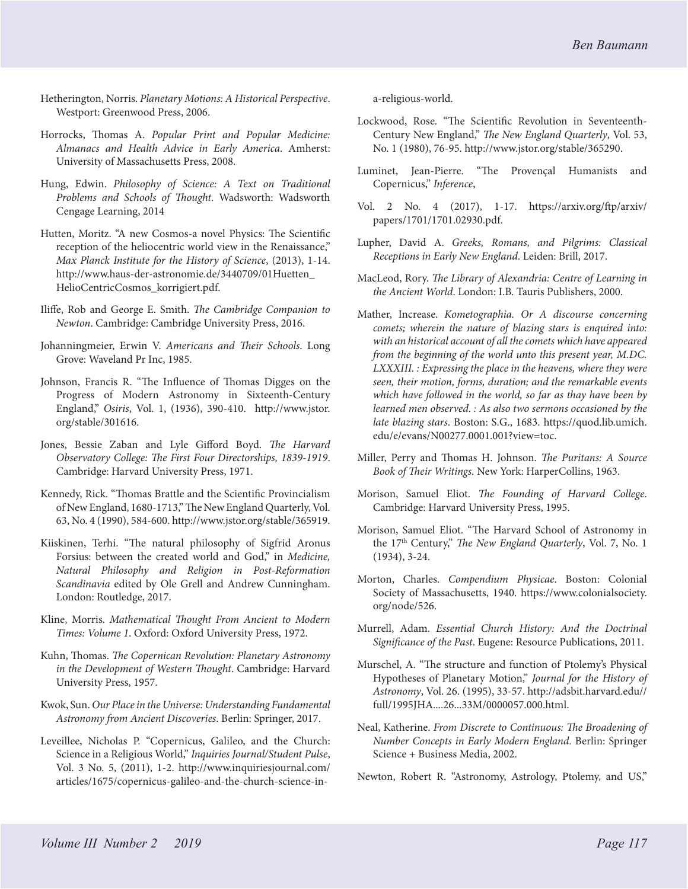- Hetherington, Norris. *Planetary Motions: A Historical Perspective*. Westport: Greenwood Press, 2006.
- Horrocks, Thomas A. *Popular Print and Popular Medicine: Almanacs and Health Advice in Early America*. Amherst: University of Massachusetts Press, 2008.
- Hung, Edwin. *Philosophy of Science: A Text on Traditional Problems and Schools of Thought*. Wadsworth: Wadsworth Cengage Learning, 2014
- Hutten, Moritz. "A new Cosmos-a novel Physics: The Scientific reception of the heliocentric world view in the Renaissance," *Max Planck Institute for the History of Science*, (2013), 1-14. http://www.haus-der-astronomie.de/3440709/01Huetten\_ HelioCentricCosmos\_korrigiert.pdf.
- Iliffe, Rob and George E. Smith. *The Cambridge Companion to Newton*. Cambridge: Cambridge University Press, 2016.
- Johanningmeier, Erwin V. *Americans and Their Schools*. Long Grove: Waveland Pr Inc, 1985.
- Johnson, Francis R. "The Influence of Thomas Digges on the Progress of Modern Astronomy in Sixteenth-Century England," *Osiris*, Vol. 1, (1936), 390-410. http://www.jstor. org/stable/301616.
- Jones, Bessie Zaban and Lyle Gifford Boyd. *The Harvard Observatory College: The First Four Directorships, 1839-1919*. Cambridge: Harvard University Press, 1971.
- Kennedy, Rick. "Thomas Brattle and the Scientific Provincialism of New England, 1680-1713," The New England Quarterly, Vol. 63, No. 4 (1990), 584-600. http://www.jstor.org/stable/365919.
- Kiiskinen, Terhi. "The natural philosophy of Sigfrid Aronus Forsius: between the created world and God," in *Medicine, Natural Philosophy and Religion in Post-Reformation Scandinavia* edited by Ole Grell and Andrew Cunningham. London: Routledge, 2017.
- Kline, Morris. *Mathematical Thought From Ancient to Modern Times: Volume 1*. Oxford: Oxford University Press, 1972.
- Kuhn, Thomas. *The Copernican Revolution: Planetary Astronomy in the Development of Western Thought*. Cambridge: Harvard University Press, 1957.
- Kwok, Sun. *Our Place in the Universe: Understanding Fundamental Astronomy from Ancient Discoveries*. Berlin: Springer, 2017.
- Leveillee, Nicholas P. "Copernicus, Galileo, and the Church: Science in a Religious World," *Inquiries Journal/Student Pulse*, Vol. 3 No. 5, (2011), 1-2. http://www.inquiriesjournal.com/ articles/1675/copernicus-galileo-and-the-church-science-in-

a-religious-world.

- Lockwood, Rose. "The Scientific Revolution in Seventeenth-Century New England," *The New England Quarterly*, Vol. 53, No. 1 (1980), 76-95. http://www.jstor.org/stable/365290.
- Luminet, Jean-Pierre. "The Provençal Humanists and Copernicus," *Inference*,
- Vol. 2 No. 4 (2017), 1-17. https://arxiv.org/ftp/arxiv/ papers/1701/1701.02930.pdf.
- Lupher, David A. *Greeks, Romans, and Pilgrims: Classical Receptions in Early New England*. Leiden: Brill, 2017.
- MacLeod, Rory. *The Library of Alexandria: Centre of Learning in the Ancient World*. London: I.B. Tauris Publishers, 2000.
- Mather, Increase. *Kometographia. Or A discourse concerning comets; wherein the nature of blazing stars is enquired into: with an historical account of all the comets which have appeared from the beginning of the world unto this present year, M.DC. LXXXIII. : Expressing the place in the heavens, where they were seen, their motion, forms, duration; and the remarkable events which have followed in the world, so far as thay have been by learned men observed. : As also two sermons occasioned by the late blazing stars*. Boston: S.G., 1683. https://quod.lib.umich. edu/e/evans/N00277.0001.001?view=toc.
- Miller, Perry and Thomas H. Johnson. *The Puritans: A Source Book of Their Writings.* New York: HarperCollins, 1963.
- Morison, Samuel Eliot. *The Founding of Harvard College*. Cambridge: Harvard University Press, 1995.
- Morison, Samuel Eliot. "The Harvard School of Astronomy in the 17th Century," *The New England Quarterly*, Vol. 7, No. 1 (1934), 3-24.
- Morton, Charles. *Compendium Physicae*. Boston: Colonial Society of Massachusetts, 1940. https://www.colonialsociety. org/node/526.
- Murrell, Adam. *Essential Church History: And the Doctrinal Significance of the Past*. Eugene: Resource Publications, 2011.
- Murschel, A. "The structure and function of Ptolemy's Physical Hypotheses of Planetary Motion," *Journal for the History of Astronomy*, Vol. 26. (1995), 33-57. http://adsbit.harvard.edu// full/1995JHA....26...33M/0000057.000.html.
- Neal, Katherine. *From Discrete to Continuous: The Broadening of Number Concepts in Early Modern England*. Berlin: Springer Science + Business Media, 2002.
- Newton, Robert R. "Astronomy, Astrology, Ptolemy, and US,"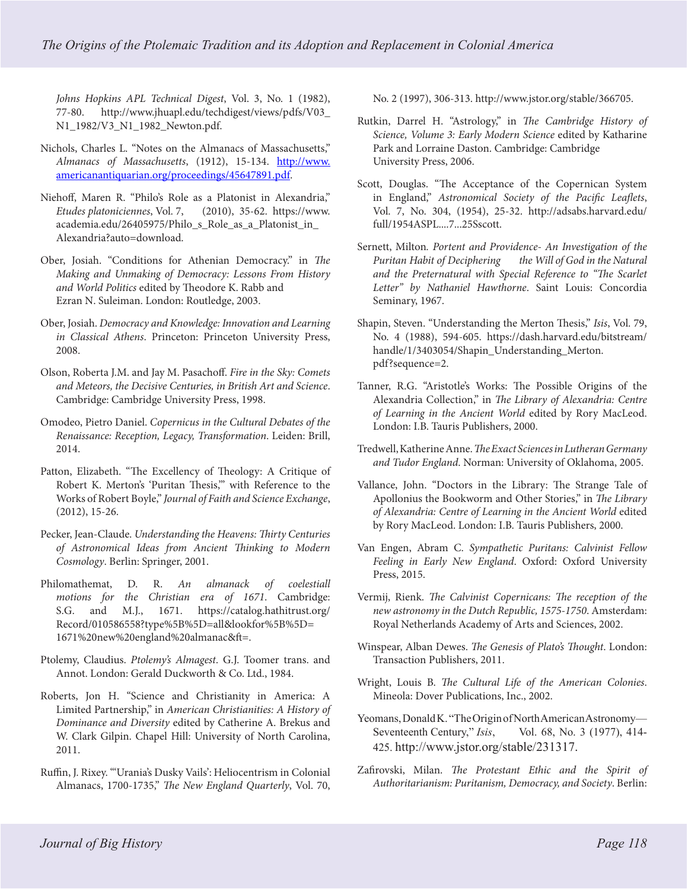*Johns Hopkins APL Technical Digest*, Vol. 3, No. 1 (1982), 77-80. http://www.jhuapl.edu/techdigest/views/pdfs/V03\_ N1\_1982/V3\_N1\_1982\_Newton.pdf.

- Nichols, Charles L. "Notes on the Almanacs of Massachusetts," *Almanacs of Massachusetts*, (1912), 15-134. [http://www.](http://www.americanantiquarian.org/proceedings/45647891.pdf) [americanantiquarian.org/proceedings/45647891.pdf](http://www.americanantiquarian.org/proceedings/45647891.pdf).
- Niehoff, Maren R. "Philo's Role as a Platonist in Alexandria," *Etudes platoniciennes*, Vol. 7, (2010), 35-62. https://www. academia.edu/26405975/Philo\_s\_Role\_as\_a\_Platonist\_in\_ Alexandria?auto=download.
- Ober, Josiah. "Conditions for Athenian Democracy." in *The Making and Unmaking of Democracy: Lessons From History and World Politics* edited by Theodore K. Rabb and Ezran N. Suleiman. London: Routledge, 2003.
- Ober, Josiah. *Democracy and Knowledge: Innovation and Learning in Classical Athens*. Princeton: Princeton University Press, 2008.
- Olson, Roberta J.M. and Jay M. Pasachoff. *Fire in the Sky: Comets and Meteors, the Decisive Centuries, in British Art and Science*. Cambridge: Cambridge University Press, 1998.
- Omodeo, Pietro Daniel. *Copernicus in the Cultural Debates of the Renaissance: Reception, Legacy, Transformation*. Leiden: Brill, 2014.
- Patton, Elizabeth. "The Excellency of Theology: A Critique of Robert K. Merton's 'Puritan Thesis,'" with Reference to the Works of Robert Boyle," *Journal of Faith and Science Exchange*, (2012), 15-26.
- Pecker, Jean-Claude. *Understanding the Heavens: Thirty Centuries of Astronomical Ideas from Ancient Thinking to Modern Cosmology*. Berlin: Springer, 2001.
- Philomathemat, D. R. *An almanack of coelestiall motions for the Christian era of 1671*. Cambridge: S.G. and M.J., 1671. https://catalog.hathitrust.org/ Record/010586558?type%5B%5D=all&lookfor%5B%5D= 1671%20new%20england%20almanac&ft=.
- Ptolemy, Claudius. *Ptolemy's Almagest*. G.J. Toomer trans. and Annot. London: Gerald Duckworth & Co. Ltd., 1984.
- Roberts, Jon H. "Science and Christianity in America: A Limited Partnership," in *American Christianities: A History of Dominance and Diversity* edited by Catherine A. Brekus and W. Clark Gilpin. Chapel Hill: University of North Carolina, 2011.
- Ruffin, J. Rixey. "'Urania's Dusky Vails': Heliocentrism in Colonial Almanacs, 1700-1735," *The New England Quarterly*, Vol. 70,

No. 2 (1997), 306-313. http://www.jstor.org/stable/366705.

- Rutkin, Darrel H. "Astrology," in *The Cambridge History of Science, Volume 3: Early Modern Science* edited by Katharine Park and Lorraine Daston. Cambridge: Cambridge University Press, 2006.
- Scott, Douglas. "The Acceptance of the Copernican System in England," *Astronomical Society of the Pacific Leaflets*, Vol. 7, No. 304, (1954), 25-32. http://adsabs.harvard.edu/ full/1954ASPL....7...25Sscott.
- Sernett, Milton*. Portent and Providence- An Investigation of the Puritan Habit of Deciphering the Will of God in the Natural and the Preternatural with Special Reference to "The Scarlet Letter" by Nathaniel Hawthorne*. Saint Louis: Concordia Seminary, 1967.
- Shapin, Steven. "Understanding the Merton Thesis," *Isis*, Vol. 79, No. 4 (1988), 594-605. https://dash.harvard.edu/bitstream/ handle/1/3403054/Shapin\_Understanding\_Merton. pdf?sequence=2.
- Tanner, R.G. "Aristotle's Works: The Possible Origins of the Alexandria Collection," in *The Library of Alexandria: Centre of Learning in the Ancient World* edited by Rory MacLeod. London: I.B. Tauris Publishers, 2000.
- Tredwell, Katherine Anne. *The Exact Sciences in Lutheran Germany and Tudor England*. Norman: University of Oklahoma, 2005.
- Vallance, John. "Doctors in the Library: The Strange Tale of Apollonius the Bookworm and Other Stories," in *The Library of Alexandria: Centre of Learning in the Ancient World* edited by Rory MacLeod. London: I.B. Tauris Publishers, 2000.
- Van Engen, Abram C. *Sympathetic Puritans: Calvinist Fellow Feeling in Early New England*. Oxford: Oxford University Press, 2015.
- Vermij, Rienk. *The Calvinist Copernicans: The reception of the new astronomy in the Dutch Republic, 1575-1750*. Amsterdam: Royal Netherlands Academy of Arts and Sciences, 2002.
- Winspear, Alban Dewes. *The Genesis of Plato's Thought*. London: Transaction Publishers, 2011.
- Wright, Louis B. *The Cultural Life of the American Colonies*. Mineola: Dover Publications, Inc., 2002.
- Yeomans, Donald K. "The Origin of North American Astronomy— Seventeenth Century," *Isis*, Vol. 68, No. 3 (1977), 414- 425. http://www.jstor.org/stable/231317.
- Zafirovski, Milan. *The Protestant Ethic and the Spirit of Authoritarianism: Puritanism, Democracy, and Society*. Berlin: